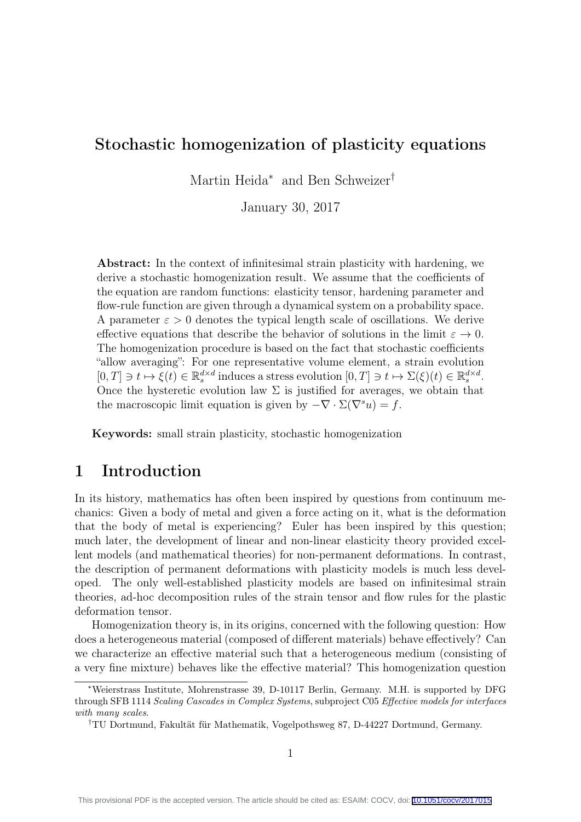# Stochastic homogenization of plasticity equations

Martin Heida<sup>∗</sup> and Ben Schweizer†

January 30, 2017

Abstract: In the context of infinitesimal strain plasticity with hardening, we derive a stochastic homogenization result. We assume that the coefficients of the equation are random functions: elasticity tensor, hardening parameter and flow-rule function are given through a dynamical system on a probability space. A parameter  $\varepsilon > 0$  denotes the typical length scale of oscillations. We derive effective equations that describe the behavior of solutions in the limit  $\varepsilon \to 0$ . The homogenization procedure is based on the fact that stochastic coefficients "allow averaging": For one representative volume element, a strain evolution  $[0, T] \ni t \mapsto \xi(t) \in \mathbb{R}_s^{d \times d}$  induces a stress evolution  $[0, T] \ni t \mapsto \Sigma(\xi)(t) \in \mathbb{R}_s^{d \times d}$ . Once the hysteretic evolution law  $\Sigma$  is justified for averages, we obtain that the macroscopic limit equation is given by  $-\nabla \cdot \Sigma(\nabla^s u) = f$ .

Keywords: small strain plasticity, stochastic homogenization

# 1 Introduction

In its history, mathematics has often been inspired by questions from continuum mechanics: Given a body of metal and given a force acting on it, what is the deformation that the body of metal is experiencing? Euler has been inspired by this question; much later, the development of linear and non-linear elasticity theory provided excellent models (and mathematical theories) for non-permanent deformations. In contrast, the description of permanent deformations with plasticity models is much less developed. The only well-established plasticity models are based on infinitesimal strain theories, ad-hoc decomposition rules of the strain tensor and flow rules for the plastic deformation tensor.

Homogenization theory is, in its origins, concerned with the following question: How does a heterogeneous material (composed of different materials) behave effectively? Can we characterize an effective material such that a heterogeneous medium (consisting of a very fine mixture) behaves like the effective material? This homogenization question

<sup>∗</sup>Weierstrass Institute, Mohrenstrasse 39, D-10117 Berlin, Germany. M.H. is supported by DFG through SFB 1114 Scaling Cascades in Complex Systems, subproject C05 Effective models for interfaces with many scales.

<sup>†</sup>TU Dortmund, Fakultät für Mathematik, Vogelpothsweg 87, D-44227 Dortmund, Germany.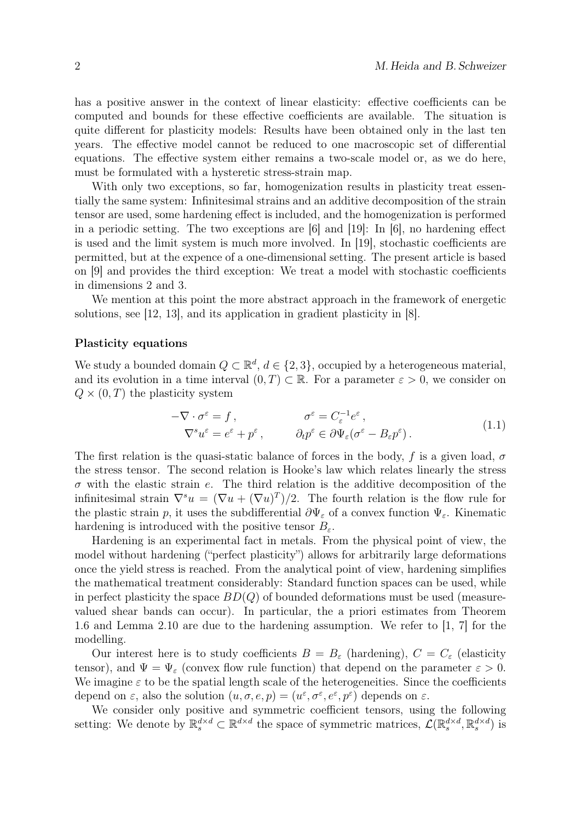has a positive answer in the context of linear elasticity: effective coefficients can be computed and bounds for these effective coefficients are available. The situation is quite different for plasticity models: Results have been obtained only in the last ten years. The effective model cannot be reduced to one macroscopic set of differential equations. The effective system either remains a two-scale model or, as we do here, must be formulated with a hysteretic stress-strain map.

With only two exceptions, so far, homogenization results in plasticity treat essentially the same system: Infinitesimal strains and an additive decomposition of the strain tensor are used, some hardening effect is included, and the homogenization is performed in a periodic setting. The two exceptions are [6] and [19]: In [6], no hardening effect is used and the limit system is much more involved. In [19], stochastic coefficients are permitted, but at the expence of a one-dimensional setting. The present article is based on [9] and provides the third exception: We treat a model with stochastic coefficients in dimensions 2 and 3.

We mention at this point the more abstract approach in the framework of energetic solutions, see [12, 13], and its application in gradient plasticity in [8].

#### Plasticity equations

We study a bounded domain  $Q \subset \mathbb{R}^d$ ,  $d \in \{2,3\}$ , occupied by a heterogeneous material, and its evolution in a time interval  $(0, T) \subset \mathbb{R}$ . For a parameter  $\varepsilon > 0$ , we consider on  $Q \times (0,T)$  the plasticity system

$$
-\nabla \cdot \sigma^{\varepsilon} = f, \qquad \sigma^{\varepsilon} = C_{\varepsilon}^{-1} e^{\varepsilon},
$$
  

$$
\nabla^{s} u^{\varepsilon} = e^{\varepsilon} + p^{\varepsilon}, \qquad \partial_{t} p^{\varepsilon} \in \partial \Psi_{\varepsilon} (\sigma^{\varepsilon} - B_{\varepsilon} p^{\varepsilon}).
$$
 (1.1)

The first relation is the quasi-static balance of forces in the body, f is a given load,  $\sigma$ the stress tensor. The second relation is Hooke's law which relates linearly the stress  $\sigma$  with the elastic strain e. The third relation is the additive decomposition of the infinitesimal strain  $\nabla^s u = (\nabla u + (\nabla u)^T)/2$ . The fourth relation is the flow rule for the plastic strain p, it uses the subdifferential  $\partial \Psi_{\varepsilon}$  of a convex function  $\Psi_{\varepsilon}$ . Kinematic hardening is introduced with the positive tensor  $B_{\varepsilon}$ .

Hardening is an experimental fact in metals. From the physical point of view, the model without hardening ("perfect plasticity") allows for arbitrarily large deformations once the yield stress is reached. From the analytical point of view, hardening simplifies the mathematical treatment considerably: Standard function spaces can be used, while in perfect plasticity the space  $BD(Q)$  of bounded deformations must be used (measurevalued shear bands can occur). In particular, the a priori estimates from Theorem 1.6 and Lemma 2.10 are due to the hardening assumption. We refer to [1, 7] for the modelling.

Our interest here is to study coefficients  $B = B_{\varepsilon}$  (hardening),  $C = C_{\varepsilon}$  (elasticity tensor), and  $\Psi = \Psi_{\varepsilon}$  (convex flow rule function) that depend on the parameter  $\varepsilon > 0$ . We imagine  $\varepsilon$  to be the spatial length scale of the heterogeneities. Since the coefficients depend on  $\varepsilon$ , also the solution  $(u, \sigma, e, p) = (u^{\varepsilon}, \sigma^{\varepsilon}, e^{\varepsilon}, p^{\varepsilon})$  depends on  $\varepsilon$ .

We consider only positive and symmetric coefficient tensors, using the following setting: We denote by  $\mathbb{R}_s^{d \times d} \subset \mathbb{R}^{d \times d}$  the space of symmetric matrices,  $\mathcal{L}(\mathbb{R}_s^{d \times d}, \mathbb{R}_s^{d \times d})$  is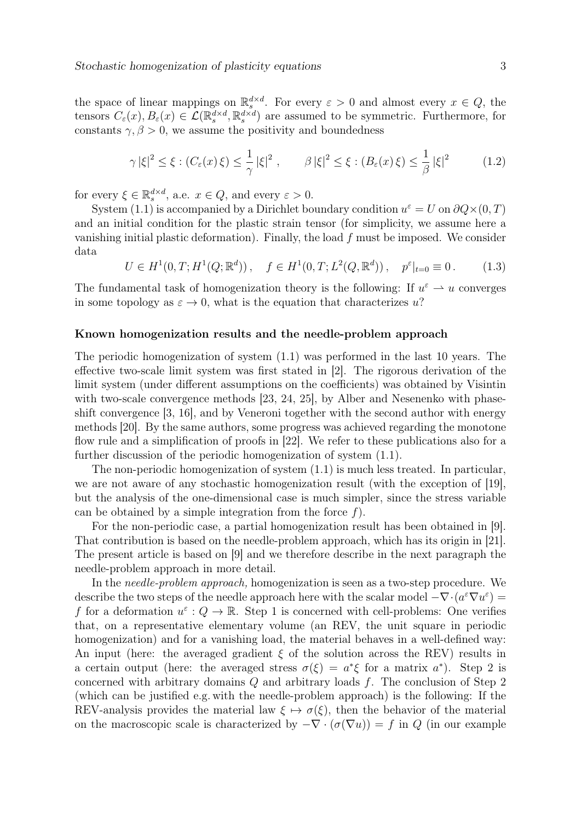the space of linear mappings on  $\mathbb{R}^{d \times d}_{s}$ . For every  $\varepsilon > 0$  and almost every  $x \in Q$ , the the space of linear mappings on  $\mathbb{R}_s$ . For every  $\varepsilon > 0$  and almost every  $x \in \mathcal{Q}$ , the<br>tensors  $C_{\varepsilon}(x), B_{\varepsilon}(x) \in \mathcal{L}(\mathbb{R}_s^{d \times d}, \mathbb{R}_s^{d \times d})$  are assumed to be symmetric. Furthermore, for constants  $\gamma$ ,  $\beta > 0$ , we assume the positivity and boundedness

$$
\gamma |\xi|^2 \le \xi : (C_{\varepsilon}(x)\xi) \le \frac{1}{\gamma} |\xi|^2 , \qquad \beta |\xi|^2 \le \xi : (B_{\varepsilon}(x)\xi) \le \frac{1}{\beta} |\xi|^2 \qquad (1.2)
$$

for every  $\xi \in \mathbb{R}_s^{d \times d}$ , a.e.  $x \in Q$ , and every  $\varepsilon > 0$ .

System (1.1) is accompanied by a Dirichlet boundary condition  $u^{\varepsilon} = U$  on  $\partial Q \times (0,T)$ and an initial condition for the plastic strain tensor (for simplicity, we assume here a vanishing initial plastic deformation). Finally, the load  $f$  must be imposed. We consider data

$$
U \in H^1(0, T; H^1(Q; \mathbb{R}^d)), \quad f \in H^1(0, T; L^2(Q, \mathbb{R}^d)), \quad p^\varepsilon|_{t=0} \equiv 0. \tag{1.3}
$$

The fundamental task of homogenization theory is the following: If  $u^{\varepsilon} \to u$  converges in some topology as  $\varepsilon \to 0$ , what is the equation that characterizes u?

#### Known homogenization results and the needle-problem approach

The periodic homogenization of system (1.1) was performed in the last 10 years. The effective two-scale limit system was first stated in [2]. The rigorous derivation of the limit system (under different assumptions on the coefficients) was obtained by Visintin with two-scale convergence methods [23, 24, 25], by Alber and Nesenenko with phaseshift convergence [3, 16], and by Veneroni together with the second author with energy methods [20]. By the same authors, some progress was achieved regarding the monotone flow rule and a simplification of proofs in [22]. We refer to these publications also for a further discussion of the periodic homogenization of system (1.1).

The non-periodic homogenization of system (1.1) is much less treated. In particular, we are not aware of any stochastic homogenization result (with the exception of [19], but the analysis of the one-dimensional case is much simpler, since the stress variable can be obtained by a simple integration from the force  $f$ ).

For the non-periodic case, a partial homogenization result has been obtained in [9]. That contribution is based on the needle-problem approach, which has its origin in [21]. The present article is based on [9] and we therefore describe in the next paragraph the needle-problem approach in more detail.

In the needle-problem approach, homogenization is seen as a two-step procedure. We describe the two steps of the needle approach here with the scalar model  $-\nabla \cdot (a^{\varepsilon} \nabla u^{\varepsilon}) =$ f for a deformation  $u^{\varepsilon}: Q \to \mathbb{R}$ . Step 1 is concerned with cell-problems: One verifies that, on a representative elementary volume (an REV, the unit square in periodic homogenization) and for a vanishing load, the material behaves in a well-defined way: An input (here: the averaged gradient  $\xi$  of the solution across the REV) results in a certain output (here: the averaged stress  $\sigma(\xi) = a^*\xi$  for a matrix  $a^*$ ). Step 2 is concerned with arbitrary domains  $Q$  and arbitrary loads  $f$ . The conclusion of Step 2 (which can be justified e.g. with the needle-problem approach) is the following: If the REV-analysis provides the material law  $\xi \mapsto \sigma(\xi)$ , then the behavior of the material on the macroscopic scale is characterized by  $-\nabla \cdot (\sigma(\nabla u)) = f$  in Q (in our example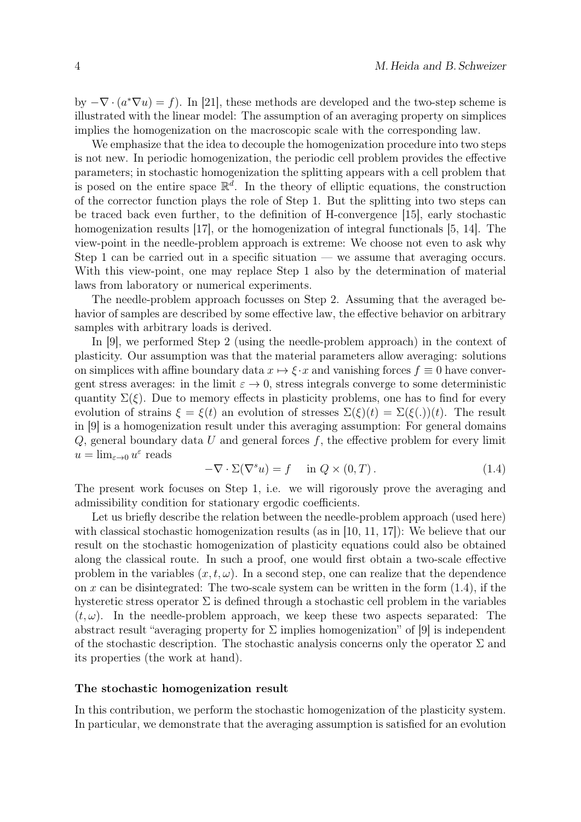by  $-\nabla \cdot (a^*\nabla u) = f$ ). In [21], these methods are developed and the two-step scheme is illustrated with the linear model: The assumption of an averaging property on simplices implies the homogenization on the macroscopic scale with the corresponding law.

We emphasize that the idea to decouple the homogenization procedure into two steps is not new. In periodic homogenization, the periodic cell problem provides the effective parameters; in stochastic homogenization the splitting appears with a cell problem that is posed on the entire space  $\mathbb{R}^d$ . In the theory of elliptic equations, the construction of the corrector function plays the role of Step 1. But the splitting into two steps can be traced back even further, to the definition of H-convergence [15], early stochastic homogenization results [17], or the homogenization of integral functionals [5, 14]. The view-point in the needle-problem approach is extreme: We choose not even to ask why Step 1 can be carried out in a specific situation — we assume that averaging occurs. With this view-point, one may replace Step 1 also by the determination of material laws from laboratory or numerical experiments.

The needle-problem approach focusses on Step 2. Assuming that the averaged behavior of samples are described by some effective law, the effective behavior on arbitrary samples with arbitrary loads is derived.

In [9], we performed Step 2 (using the needle-problem approach) in the context of plasticity. Our assumption was that the material parameters allow averaging: solutions on simplices with affine boundary data  $x \mapsto \xi \cdot x$  and vanishing forces  $f \equiv 0$  have convergent stress averages: in the limit  $\varepsilon \to 0$ , stress integrals converge to some deterministic quantity  $\Sigma(\xi)$ . Due to memory effects in plasticity problems, one has to find for every evolution of strains  $\xi = \xi(t)$  an evolution of stresses  $\Sigma(\xi)(t) = \Sigma(\xi(.))(t)$ . The result in [9] is a homogenization result under this averaging assumption: For general domains  $Q$ , general boundary data U and general forces f, the effective problem for every limit  $u = \lim_{\varepsilon \to 0} u^{\varepsilon}$  reads

$$
-\nabla \cdot \Sigma(\nabla^s u) = f \quad \text{in } Q \times (0, T). \tag{1.4}
$$

The present work focuses on Step 1, i.e. we will rigorously prove the averaging and admissibility condition for stationary ergodic coefficients.

Let us briefly describe the relation between the needle-problem approach (used here) with classical stochastic homogenization results (as in [10, 11, 17]): We believe that our result on the stochastic homogenization of plasticity equations could also be obtained along the classical route. In such a proof, one would first obtain a two-scale effective problem in the variables  $(x, t, \omega)$ . In a second step, one can realize that the dependence on x can be disintegrated: The two-scale system can be written in the form  $(1.4)$ , if the hysteretic stress operator  $\Sigma$  is defined through a stochastic cell problem in the variables  $(t, \omega)$ . In the needle-problem approach, we keep these two aspects separated: The abstract result "averaging property for  $\Sigma$  implies homogenization" of [9] is independent of the stochastic description. The stochastic analysis concerns only the operator  $\Sigma$  and its properties (the work at hand).

#### The stochastic homogenization result

In this contribution, we perform the stochastic homogenization of the plasticity system. In particular, we demonstrate that the averaging assumption is satisfied for an evolution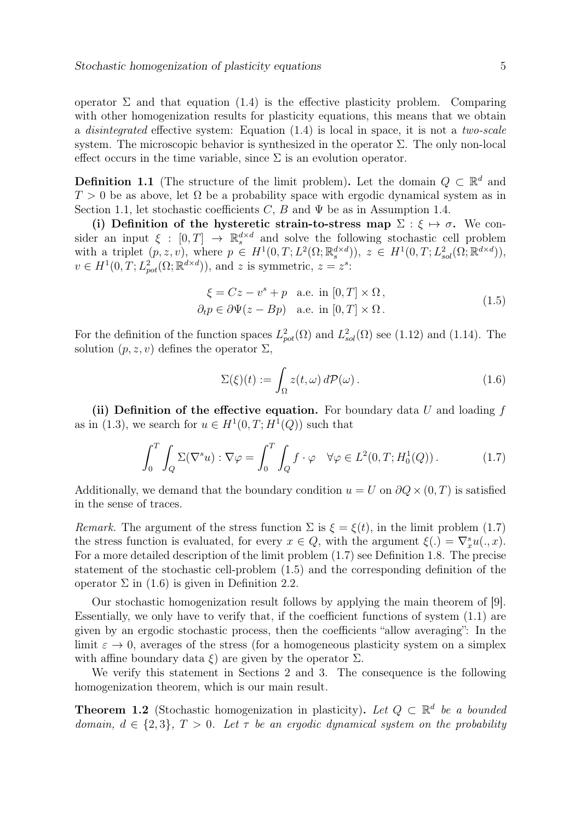operator  $\Sigma$  and that equation (1.4) is the effective plasticity problem. Comparing with other homogenization results for plasticity equations, this means that we obtain a *disintegrated* effective system: Equation  $(1.4)$  is local in space, it is not a *two-scale* system. The microscopic behavior is synthesized in the operator  $\Sigma$ . The only non-local effect occurs in the time variable, since  $\Sigma$  is an evolution operator.

**Definition 1.1** (The structure of the limit problem). Let the domain  $Q \subset \mathbb{R}^d$  and  $T > 0$  be as above, let  $\Omega$  be a probability space with ergodic dynamical system as in Section 1.1, let stochastic coefficients C, B and  $\Psi$  be as in Assumption 1.4.

(i) Definition of the hysteretic strain-to-stress map  $\Sigma : \xi \mapsto \sigma$ . We consider an input  $\xi : [0, T] \rightarrow \mathbb{R}^{d \times d}_{s}$  and solve the following stochastic cell problem with a triplet  $(p, z, v)$ , where  $p \in H^1(0, T; L^2(\Omega; \mathbb{R}^{d \times d}_s)), z \in H^1(0, T; L^2_{sol}(\Omega; \mathbb{R}^{d \times d}))$ ,  $v \in H^1(0, T; L^2_{pot}(\Omega; \mathbb{R}^{d \times d}))$ , and z is symmetric,  $z = z^s$ :

$$
\xi = Cz - v^s + p \quad \text{a.e. in } [0, T] \times \Omega ,
$$
  
\n
$$
\partial_t p \in \partial \Psi(z - Bp) \quad \text{a.e. in } [0, T] \times \Omega .
$$
\n(1.5)

For the definition of the function spaces  $L_{pot}^2(\Omega)$  and  $L_{sol}^2(\Omega)$  see (1.12) and (1.14). The solution  $(p, z, v)$  defines the operator  $\Sigma$ ,

$$
\Sigma(\xi)(t) := \int_{\Omega} z(t,\omega) d\mathcal{P}(\omega).
$$
\n(1.6)

(ii) Definition of the effective equation. For boundary data  $U$  and loading  $f$ as in (1.3), we search for  $u \in H^1(0,T;H^1(Q))$  such that

$$
\int_0^T \int_Q \Sigma (\nabla^s u) : \nabla \varphi = \int_0^T \int_Q f \cdot \varphi \quad \forall \varphi \in L^2(0, T; H_0^1(Q)). \tag{1.7}
$$

Additionally, we demand that the boundary condition  $u = U$  on  $\partial Q \times (0, T)$  is satisfied in the sense of traces.

*Remark.* The argument of the stress function  $\Sigma$  is  $\xi = \xi(t)$ , in the limit problem (1.7) the stress function is evaluated, for every  $x \in Q$ , with the argument  $\xi(.) = \nabla_x^s u(., x).$ For a more detailed description of the limit problem (1.7) see Definition 1.8. The precise statement of the stochastic cell-problem (1.5) and the corresponding definition of the operator  $\Sigma$  in (1.6) is given in Definition 2.2.

Our stochastic homogenization result follows by applying the main theorem of [9]. Essentially, we only have to verify that, if the coefficient functions of system (1.1) are given by an ergodic stochastic process, then the coefficients "allow averaging": In the limit  $\varepsilon \to 0$ , averages of the stress (for a homogeneous plasticity system on a simplex with affine boundary data  $\xi$ ) are given by the operator  $\Sigma$ .

We verify this statement in Sections 2 and 3. The consequence is the following homogenization theorem, which is our main result.

**Theorem 1.2** (Stochastic homogenization in plasticity). Let  $Q \subset \mathbb{R}^d$  be a bounded domain,  $d \in \{2,3\}$ ,  $T > 0$ . Let  $\tau$  be an ergodic dynamical system on the probability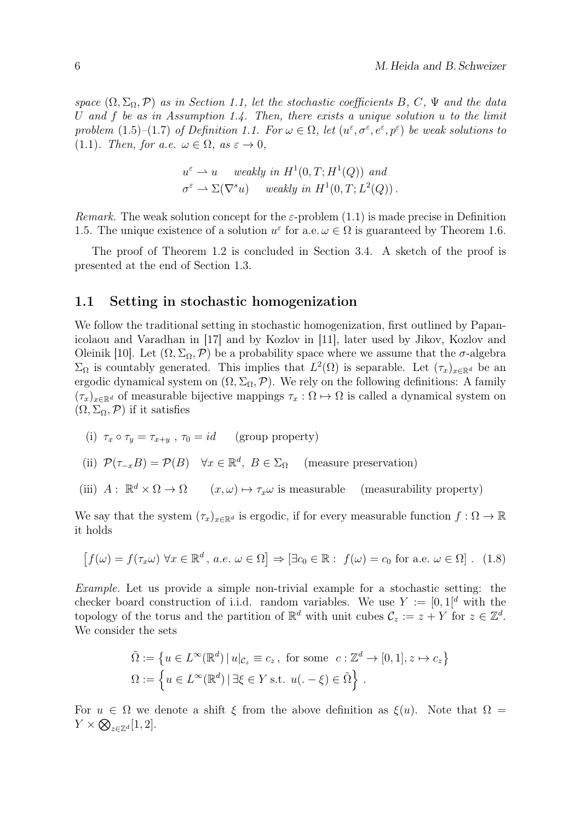space  $(\Omega, \Sigma_{\Omega}, P)$  as in Section 1.1, let the stochastic coefficients B, C,  $\Psi$  and the data U and  $f$  be as in Assumption 1.4. Then, there exists a unique solution  $u$  to the limit problem (1.5)–(1.7) of Definition 1.1. For  $\omega \in \Omega$ , let  $(u^{\varepsilon}, \sigma^{\varepsilon}, e^{\varepsilon}, p^{\varepsilon})$  be weak solutions to (1.1). Then, for a.e.  $\omega \in \Omega$ , as  $\varepsilon \to 0$ ,

$$
u^{\varepsilon} \rightharpoonup u \quad weakly \in H^{1}(0, T; H^{1}(Q)) \text{ and}
$$
  

$$
\sigma^{\varepsilon} \rightharpoonup \Sigma(\nabla^{s} u) \quad weakly \in H^{1}(0, T; L^{2}(Q)).
$$

Remark. The weak solution concept for the  $\varepsilon$ -problem (1.1) is made precise in Definition 1.5. The unique existence of a solution  $u^{\varepsilon}$  for a.e.  $\omega \in \Omega$  is guaranteed by Theorem 1.6.

The proof of Theorem 1.2 is concluded in Section 3.4. A sketch of the proof is presented at the end of Section 1.3.

#### 1.1 Setting in stochastic homogenization

We follow the traditional setting in stochastic homogenization, first outlined by Papanicolaou and Varadhan in [17] and by Kozlov in [11], later used by Jikov, Kozlov and Oleinik [10]. Let  $(\Omega, \Sigma_{\Omega}, \mathcal{P})$  be a probability space where we assume that the  $\sigma$ -algebra  $\Sigma_{\Omega}$  is countably generated. This implies that  $L^2(\Omega)$  is separable. Let  $(\tau_x)_{x\in\mathbb{R}^d}$  be an ergodic dynamical system on  $(\Omega, \Sigma_{\Omega}, \mathcal{P})$ . We rely on the following definitions: A family  $(\tau_x)_{x\in\mathbb{R}^d}$  of measurable bijective mappings  $\tau_x:\Omega\mapsto\Omega$  is called a dynamical system on  $(\Omega, \Sigma_{\Omega}, \mathcal{P})$  if it satisfies

- (i)  $\tau_x \circ \tau_y = \tau_{x+y}$ ,  $\tau_0 = id$  (group property)
- (ii)  $\mathcal{P}(\tau_{-x}B) = \mathcal{P}(B)$   $\forall x \in \mathbb{R}^d$ ,  $B \in \Sigma_{\Omega}$  (measure preservation)
- (iii)  $A: \mathbb{R}^d \times \Omega \to \Omega$   $(x, \omega) \mapsto \tau_x \omega$  is measurable (measurability property)

We say that the system  $(\tau_x)_{x\in\mathbb{R}^d}$  is ergodic, if for every measurable function  $f:\Omega\to\mathbb{R}$ it holds

$$
[f(\omega) = f(\tau_x \omega) \,\forall x \in \mathbb{R}^d, \, a.e. \, \omega \in \Omega] \Rightarrow [\exists c_0 \in \mathbb{R} : f(\omega) = c_0 \text{ for a.e. } \omega \in \Omega]. \tag{1.8}
$$

Example. Let us provide a simple non-trivial example for a stochastic setting: the checker board construction of i.i.d. random variables. We use  $Y := [0, 1]^d$  with the topology of the torus and the partition of  $\mathbb{R}^d$  with unit cubes  $\mathcal{C}_z := z + Y$  for  $z \in \mathbb{Z}^d$ . We consider the sets

$$
\tilde{\Omega} := \left\{ u \in L^{\infty}(\mathbb{R}^d) \, | \, u|_{\mathcal{C}_z} \equiv c_z, \text{ for some } c : \mathbb{Z}^d \to [0, 1], z \mapsto c_z \right\}
$$
  

$$
\Omega := \left\{ u \in L^{\infty}(\mathbb{R}^d) \, | \, \exists \xi \in Y \text{ s.t. } u(. - \xi) \in \tilde{\Omega} \right\}.
$$

For  $u \in \Omega$  we denote a shift  $\xi$  from the above definition as  $\xi(u)$ . Note that  $\Omega =$  $Y \times \bigotimes_{z \in \mathbb{Z}^d} [1,2].$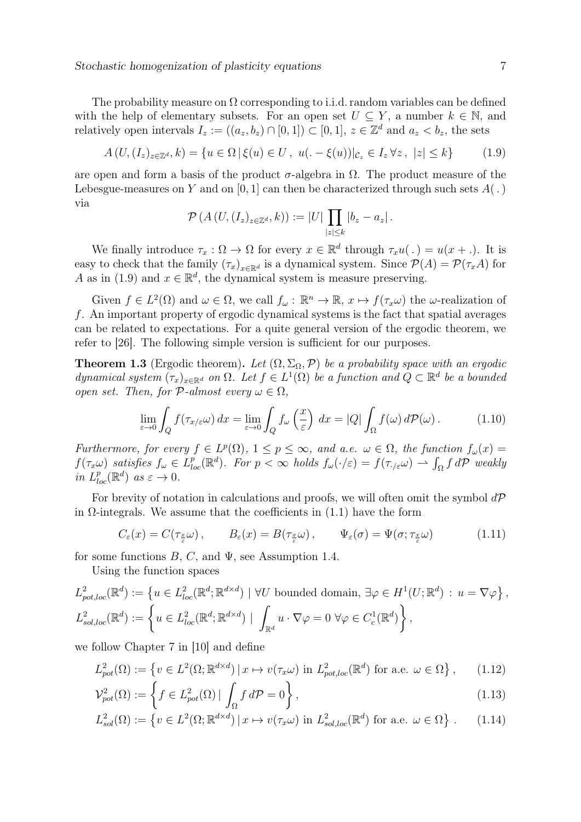The probability measure on  $\Omega$  corresponding to i.i.d. random variables can be defined with the help of elementary subsets. For an open set  $U \subseteq Y$ , a number  $k \in \mathbb{N}$ , and relatively open intervals  $I_z := ((a_z, b_z) \cap [0, 1]) \subset [0, 1], z \in \mathbb{Z}^d$  and  $a_z < b_z$ , the sets

$$
A(U, (I_z)_{z \in \mathbb{Z}^d}, k) = \{ u \in \Omega \, | \, \xi(u) \in U \, , \, u(. - \xi(u)) |_{\mathcal{C}_z} \in I_z \, \forall z \, , \, |z| \le k \}
$$
(1.9)

are open and form a basis of the product  $\sigma$ -algebra in  $\Omega$ . The product measure of the Lebesgue-measures on Y and on  $[0, 1]$  can then be characterized through such sets  $A(.)$ via

$$
\mathcal{P}\left(A\left(U,\left(I_z\right)_{z\in\mathbb{Z}^d},k\right)\right):=|U|\prod_{|z|\leq k}|b_z-a_z|.
$$

We finally introduce  $\tau_x : \Omega \to \Omega$  for every  $x \in \mathbb{R}^d$  through  $\tau_x u(x) = u(x + x)$ . It is easy to check that the family  $(\tau_x)_{x\in\mathbb{R}^d}$  is a dynamical system. Since  $\mathcal{P}(A) = \mathcal{P}(\tau_x A)$  for A as in (1.9) and  $x \in \mathbb{R}^d$ , the dynamical system is measure preserving.

Given  $f \in L^2(\Omega)$  and  $\omega \in \Omega$ , we call  $f_{\omega}: \mathbb{R}^n \to \mathbb{R}, x \mapsto f(\tau_x \omega)$  the  $\omega$ -realization of f. An important property of ergodic dynamical systems is the fact that spatial averages can be related to expectations. For a quite general version of the ergodic theorem, we refer to [26]. The following simple version is sufficient for our purposes.

**Theorem 1.3** (Ergodic theorem). Let  $(\Omega, \Sigma_{\Omega}, \mathcal{P})$  be a probability space with an ergodic dynamical system  $(\tau_x)_{x \in \mathbb{R}^d}$  on  $\Omega$ . Let  $f \in L^1(\Omega)$  be a function and  $Q \subset \mathbb{R}^d$  be a bounded open set. Then, for  $P$ -almost every  $\omega \in \Omega$ ,

$$
\lim_{\varepsilon \to 0} \int_{Q} f(\tau_{x/\varepsilon} \omega) dx = \lim_{\varepsilon \to 0} \int_{Q} f_{\omega} \left(\frac{x}{\varepsilon}\right) dx = |Q| \int_{\Omega} f(\omega) d\mathcal{P}(\omega).
$$
 (1.10)

Furthermore, for every  $f \in L^p(\Omega)$ ,  $1 \leq p \leq \infty$ , and a.e.  $\omega \in \Omega$ , the function  $f_{\omega}(x) =$  $f(\tau_x \omega)$  satisfies  $f_\omega \in L^p_{loc}(\mathbb{R}^d)$ . For  $p < \infty$  holds  $f_\omega(\cdot/\varepsilon) = f(\tau_{\cdot/\varepsilon}\omega) \to \int_{\Omega} f d\mathcal{P}$  weakly in  $L_{loc}^p(\mathbb{R}^d)$  as  $\varepsilon \to 0$ .

For brevity of notation in calculations and proofs, we will often omit the symbol  $d\mathcal{P}$ in  $\Omega$ -integrals. We assume that the coefficients in (1.1) have the form

$$
C_{\varepsilon}(x) = C(\tau_{\frac{x}{\varepsilon}}\omega), \qquad B_{\varepsilon}(x) = B(\tau_{\frac{x}{\varepsilon}}\omega), \qquad \Psi_{\varepsilon}(\sigma) = \Psi(\sigma; \tau_{\frac{x}{\varepsilon}}\omega) \tag{1.11}
$$

for some functions  $B, C$ , and  $\Psi$ , see Assumption 1.4.

Using the function spaces

$$
L_{pot,loc}^{2}(\mathbb{R}^{d}) := \left\{ u \in L_{loc}^{2}(\mathbb{R}^{d}; \mathbb{R}^{d \times d}) \mid \forall U \text{ bounded domain}, \exists \varphi \in H^{1}(U; \mathbb{R}^{d}) : u = \nabla \varphi \right\},
$$
  

$$
L_{sol,loc}^{2}(\mathbb{R}^{d}) := \left\{ u \in L_{loc}^{2}(\mathbb{R}^{d}; \mathbb{R}^{d \times d}) \mid \int_{\mathbb{R}^{d}} u \cdot \nabla \varphi = 0 \ \forall \varphi \in C_{c}^{1}(\mathbb{R}^{d}) \right\},
$$

we follow Chapter 7 in [10] and define

$$
L_{pot}^2(\Omega) := \left\{ v \in L^2(\Omega; \mathbb{R}^{d \times d}) \, | \, x \mapsto v(\tau_x \omega) \text{ in } L_{pot,loc}^2(\mathbb{R}^d) \text{ for a.e. } \omega \in \Omega \right\},\qquad(1.12)
$$

$$
\mathcal{V}_{pot}^2(\Omega) := \left\{ f \in L_{pot}^2(\Omega) \, | \, \int_{\Omega} f \, d\mathcal{P} = 0 \right\},\tag{1.13}
$$

$$
L_{sol}^2(\Omega) := \left\{ v \in L^2(\Omega; \mathbb{R}^{d \times d}) \, | \, x \mapsto v(\tau_x \omega) \text{ in } L_{sol,loc}^2(\mathbb{R}^d) \text{ for a.e. } \omega \in \Omega \right\} \,. \tag{1.14}
$$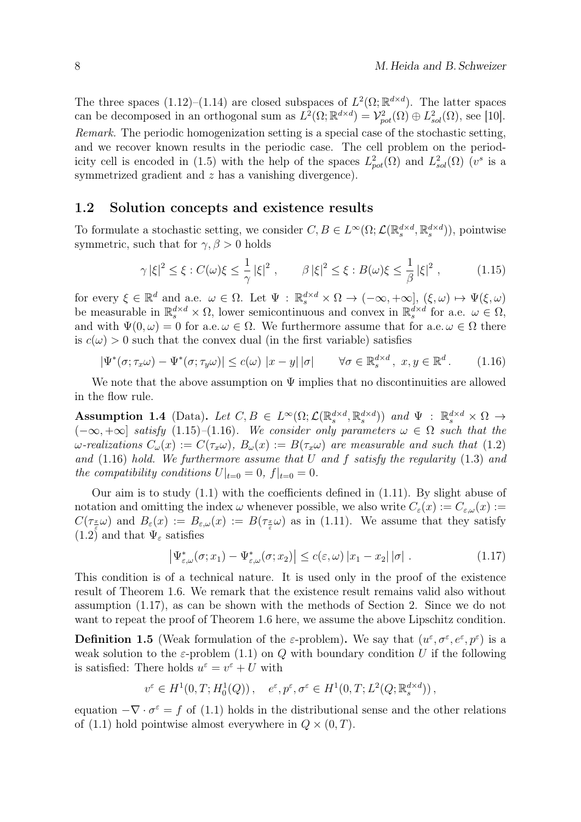The three spaces (1.12)–(1.14) are closed subspaces of  $L^2(\Omega;\mathbb{R}^{d\times d})$ . The latter spaces can be decomposed in an orthogonal sum as  $L^2(\Omega; \mathbb{R}^{d \times d}) = \mathcal{V}_{pot}^2(\Omega) \oplus L_{sol}^2(\Omega)$ , see [10]. Remark. The periodic homogenization setting is a special case of the stochastic setting, and we recover known results in the periodic case. The cell problem on the periodicity cell is encoded in (1.5) with the help of the spaces  $L_{pot}^2(\Omega)$  and  $L_{sol}^2(\Omega)$  (v<sup>s</sup> is a symmetrized gradient and z has a vanishing divergence).

#### 1.2 Solution concepts and existence results

To formulate a stochastic setting, we consider  $C, B \in L^{\infty}(\Omega; \mathcal{L}(\mathbb{R}^{d \times d}_s, \mathbb{R}^{d \times d}_s))$ , pointwise symmetric, such that for  $\gamma$ ,  $\beta > 0$  holds

$$
\gamma |\xi|^2 \le \xi : C(\omega)\xi \le \frac{1}{\gamma} |\xi|^2 , \qquad \beta |\xi|^2 \le \xi : B(\omega)\xi \le \frac{1}{\beta} |\xi|^2 , \qquad (1.15)
$$

for every  $\xi \in \mathbb{R}^d$  and a.e.  $\omega \in \Omega$ . Let  $\Psi : \mathbb{R}^{d \times d}_s \times \Omega \to (-\infty, +\infty]$ ,  $(\xi, \omega) \mapsto \Psi(\xi, \omega)$ be measurable in  $\mathbb{R}_s^{d \times d} \times \Omega$ , lower semicontinuous and convex in  $\mathbb{R}_s^{d \times d}$  for a.e.  $\omega \in \Omega$ , and with  $\Psi(0,\omega) = 0$  for a.e.  $\omega \in \Omega$ . We furthermore assume that for a.e.  $\omega \in \Omega$  there is  $c(\omega) > 0$  such that the convex dual (in the first variable) satisfies

$$
|\Psi^*(\sigma;\tau_x\omega) - \Psi^*(\sigma;\tau_y\omega)| \le c(\omega) |x - y| |\sigma| \qquad \forall \sigma \in \mathbb{R}_s^{d \times d}, \ x, y \in \mathbb{R}^d. \tag{1.16}
$$

We note that the above assumption on  $\Psi$  implies that no discontinuities are allowed in the flow rule.

Assumption 1.4 (Data). Let  $C, B \in L^{\infty}(\Omega; \mathcal{L}(\mathbb{R}^{d \times d}_s, \mathbb{R}^{d \times d}_s))$  and  $\Psi : \mathbb{R}^{d \times d}_s \times \Omega \to$  $(-\infty, +\infty]$  satisfy (1.15)–(1.16). We consider only parameters  $\omega \in \Omega$  such that the  $\omega$ -realizations  $C_{\omega}(x) := C(\tau_x \omega)$ ,  $B_{\omega}(x) := B(\tau_x \omega)$  are measurable and such that (1.2) and  $(1.16)$  hold. We furthermore assume that U and f satisfy the regularity  $(1.3)$  and the compatibility conditions  $U|_{t=0} = 0$ ,  $f|_{t=0} = 0$ .

Our aim is to study (1.1) with the coefficients defined in (1.11). By slight abuse of notation and omitting the index  $\omega$  whenever possible, we also write  $C_{\varepsilon}(x) := C_{\varepsilon,\omega}(x) :=$  $C(\tau_{\frac{x}{\varepsilon}}\omega)$  and  $B_{\varepsilon}(x) := B_{\varepsilon,\omega}(x) := B(\tau_{\frac{x}{\varepsilon}}\omega)$  as in (1.11). We assume that they satisfy  $(1.2)$  and that  $\Psi_{\varepsilon}$  satisfies

$$
\left| \Psi_{\varepsilon,\omega}^*(\sigma; x_1) - \Psi_{\varepsilon,\omega}^*(\sigma; x_2) \right| \le c(\varepsilon, \omega) \left| x_1 - x_2 \right| |\sigma| \,. \tag{1.17}
$$

This condition is of a technical nature. It is used only in the proof of the existence result of Theorem 1.6. We remark that the existence result remains valid also without assumption (1.17), as can be shown with the methods of Section 2. Since we do not want to repeat the proof of Theorem 1.6 here, we assume the above Lipschitz condition.

**Definition 1.5** (Weak formulation of the *ε*-problem). We say that  $(u^{\varepsilon}, \sigma^{\varepsilon}, e^{\varepsilon}, p^{\varepsilon})$  is a weak solution to the  $\varepsilon$ -problem (1.1) on Q with boundary condition U if the following is satisfied: There holds  $u^{\varepsilon} = v^{\varepsilon} + U$  with

$$
v^{\varepsilon} \in H^1(0, T; H_0^1(Q)), \quad e^{\varepsilon}, p^{\varepsilon}, \sigma^{\varepsilon} \in H^1(0, T; L^2(Q; \mathbb{R}_s^{d \times d}))
$$

equation  $-\nabla \cdot \sigma^{\epsilon} = f$  of (1.1) holds in the distributional sense and the other relations of (1.1) hold pointwise almost everywhere in  $Q \times (0,T)$ .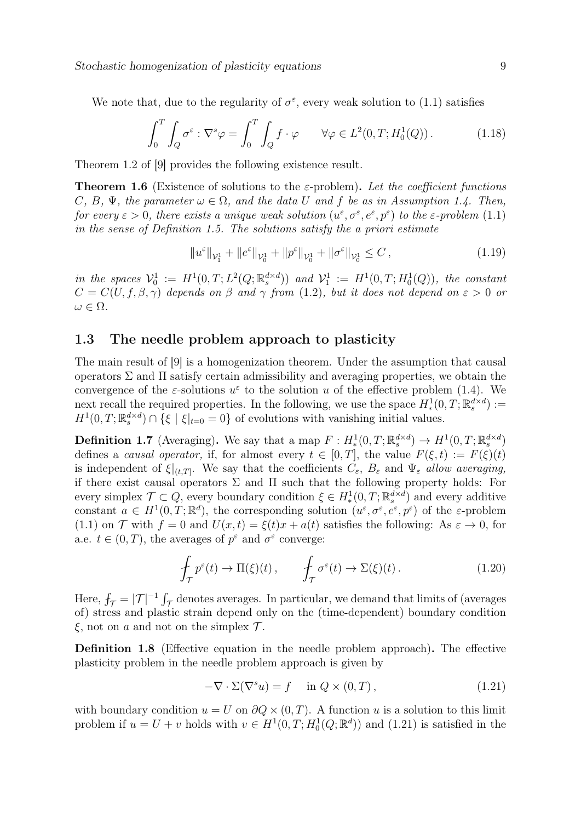We note that, due to the regularity of  $\sigma^{\epsilon}$ , every weak solution to (1.1) satisfies

$$
\int_0^T \int_Q \sigma^\varepsilon : \nabla^s \varphi = \int_0^T \int_Q f \cdot \varphi \qquad \forall \varphi \in L^2(0, T; H_0^1(Q)). \tag{1.18}
$$

Theorem 1.2 of [9] provides the following existence result.

**Theorem 1.6** (Existence of solutions to the  $\varepsilon$ -problem). Let the coefficient functions C, B,  $\Psi$ , the parameter  $\omega \in \Omega$ , and the data U and f be as in Assumption 1.4. Then, for every  $\varepsilon > 0$ , there exists a unique weak solution  $(u^{\varepsilon}, \sigma^{\varepsilon}, e^{\varepsilon}, p^{\varepsilon})$  to the  $\varepsilon$ -problem  $(1.1)$ in the sense of Definition 1.5. The solutions satisfy the a priori estimate

$$
||u^{\varepsilon}||_{\mathcal{V}_{1}^{1}} + ||e^{\varepsilon}||_{\mathcal{V}_{0}^{1}} + ||p^{\varepsilon}||_{\mathcal{V}_{0}^{1}} + ||\sigma^{\varepsilon}||_{\mathcal{V}_{0}^{1}} \leq C,
$$
\n(1.19)

in the spaces  $\mathcal{V}_0^1 := H^1(0,T; L^2(Q;\mathbb{R}^{d \times d}_s))$  and  $\mathcal{V}_1^1 := H^1(0,T; H_0^1(Q)),$  the constant  $C = C(U, f, \beta, \gamma)$  depends on  $\beta$  and  $\gamma$  from (1.2), but it does not depend on  $\varepsilon > 0$  or  $\omega \in \Omega$ .

### 1.3 The needle problem approach to plasticity

The main result of [9] is a homogenization theorem. Under the assumption that causal operators  $\Sigma$  and  $\Pi$  satisfy certain admissibility and averaging properties, we obtain the convergence of the  $\varepsilon$ -solutions  $u^{\varepsilon}$  to the solution u of the effective problem (1.4). We next recall the required properties. In the following, we use the space  $H^1_*(0,T;\mathbb{R}^{d \times d}_s) :=$  $H^1(0,T;\mathbb{R}^{d\times d}_{s})\cap \{\xi\mid \xi\vert_{t=0}=0\}$  of evolutions with vanishing initial values.

**Definition 1.7** (Averaging). We say that a map  $F: H^1_*(0,T;\mathbb{R}^{d\times d}_s) \to H^1(0,T;\mathbb{R}^{d\times d}_s)$ defines a causal operator, if, for almost every  $t \in [0, T]$ , the value  $F(\xi, t) := F(\xi)(t)$ is independent of  $\xi|_{(t,T]}$ . We say that the coefficients  $C_{\varepsilon}$ ,  $B_{\varepsilon}$  and  $\Psi_{\varepsilon}$  allow averaging, if there exist causal operators  $\Sigma$  and  $\Pi$  such that the following property holds: For every simplex  $\mathcal{T} \subset Q$ , every boundary condition  $\xi \in H^1_*(0,T;\mathbb{R}^{d \times d}_s)$  and every additive constant  $a \in H^1(0,T;\mathbb{R}^d)$ , the corresponding solution  $(u^\varepsilon, \sigma^\varepsilon, e^\varepsilon, p^\varepsilon)$  of the  $\varepsilon$ -problem (1.1) on  $\mathcal T$  with  $f = 0$  and  $U(x, t) = \xi(t)x + a(t)$  satisfies the following: As  $\varepsilon \to 0$ , for a.e.  $t \in (0, T)$ , the averages of  $p^{\varepsilon}$  and  $\sigma^{\varepsilon}$  converge:

$$
\oint_{\mathcal{T}} p^{\varepsilon}(t) \to \Pi(\xi)(t), \qquad \oint_{\mathcal{T}} \sigma^{\varepsilon}(t) \to \Sigma(\xi)(t).
$$
\n(1.20)

Here,  $f_{\mathcal{T}} = |\mathcal{T}|^{-1} \int_{\mathcal{T}}$  denotes averages. In particular, we demand that limits of (averages of) stress and plastic strain depend only on the (time-dependent) boundary condition  $\xi$ , not on a and not on the simplex  $\mathcal{T}$ .

Definition 1.8 (Effective equation in the needle problem approach). The effective plasticity problem in the needle problem approach is given by

$$
-\nabla \cdot \Sigma(\nabla^s u) = f \quad \text{in } Q \times (0, T), \tag{1.21}
$$

with boundary condition  $u = U$  on  $\partial Q \times (0,T)$ . A function u is a solution to this limit problem if  $u = U + v$  holds with  $v \in H^1(0,T; H_0^1(Q;\mathbb{R}^d))$  and  $(1.21)$  is satisfied in the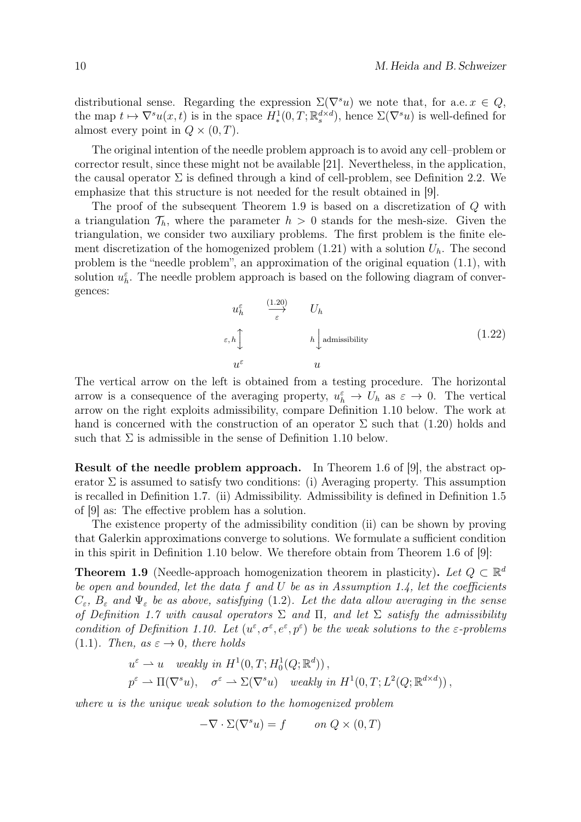distributional sense. Regarding the expression  $\Sigma(\nabla^s u)$  we note that, for a.e.  $x \in Q$ , the map  $t \mapsto \nabla^s u(x, t)$  is in the space  $H^1_*(0, T; \mathbb{R}^{d \times d}_s)$ , hence  $\Sigma(\nabla^s u)$  is well-defined for almost every point in  $Q \times (0, T)$ .

The original intention of the needle problem approach is to avoid any cell–problem or corrector result, since these might not be available [21]. Nevertheless, in the application, the causal operator  $\Sigma$  is defined through a kind of cell-problem, see Definition 2.2. We emphasize that this structure is not needed for the result obtained in [9].

The proof of the subsequent Theorem 1.9 is based on a discretization of Q with a triangulation  $\mathcal{T}_h$ , where the parameter  $h > 0$  stands for the mesh-size. Given the triangulation, we consider two auxiliary problems. The first problem is the finite element discretization of the homogenized problem  $(1.21)$  with a solution  $U_h$ . The second problem is the "needle problem", an approximation of the original equation (1.1), with solution  $u_h^{\varepsilon}$ . The needle problem approach is based on the following diagram of convergences:

$$
u_h^{\varepsilon} \xrightarrow{\left(1.20\right)} U_h
$$
  
\n
$$
\varepsilon, h \bigcup_{u^{\varepsilon}} h \bigcup_{u} \text{admissibility}
$$
\n(1.22)

The vertical arrow on the left is obtained from a testing procedure. The horizontal arrow is a consequence of the averaging property,  $u_h^{\varepsilon} \to U_h$  as  $\varepsilon \to 0$ . The vertical arrow on the right exploits admissibility, compare Definition 1.10 below. The work at hand is concerned with the construction of an operator  $\Sigma$  such that (1.20) holds and such that  $\Sigma$  is admissible in the sense of Definition 1.10 below.

Result of the needle problem approach. In Theorem 1.6 of [9], the abstract operator  $\Sigma$  is assumed to satisfy two conditions: (i) Averaging property. This assumption is recalled in Definition 1.7. (ii) Admissibility. Admissibility is defined in Definition 1.5 of [9] as: The effective problem has a solution.

The existence property of the admissibility condition (ii) can be shown by proving that Galerkin approximations converge to solutions. We formulate a sufficient condition in this spirit in Definition 1.10 below. We therefore obtain from Theorem 1.6 of [9]:

**Theorem 1.9** (Needle-approach homogenization theorem in plasticity). Let  $Q \subset \mathbb{R}^d$ be open and bounded, let the data  $f$  and  $U$  be as in Assumption 1.4, let the coefficients  $C_{\varepsilon}$ ,  $B_{\varepsilon}$  and  $\Psi_{\varepsilon}$  be as above, satisfying (1.2). Let the data allow averaging in the sense of Definition 1.7 with causal operators  $\Sigma$  and  $\Pi$ , and let  $\Sigma$  satisfy the admissibility condition of Definition 1.10. Let  $(u^{\varepsilon}, \sigma^{\varepsilon}, e^{\varepsilon}, p^{\varepsilon})$  be the weak solutions to the  $\varepsilon$ -problems (1.1). Then, as  $\varepsilon \to 0$ , there holds

$$
u^{\varepsilon} \rightharpoonup u \quad weakly \text{ in } H^1(0, T; H_0^1(Q; \mathbb{R}^d)),
$$
  

$$
p^{\varepsilon} \rightharpoonup \Pi(\nabla^s u), \quad \sigma^{\varepsilon} \rightharpoonup \Sigma(\nabla^s u) \quad weakly \text{ in } H^1(0, T; L^2(Q; \mathbb{R}^{d \times d}))
$$

where u is the unique weak solution to the homogenized problem

$$
-\nabla \cdot \Sigma(\nabla^s u) = f \qquad on \ Q \times (0, T)
$$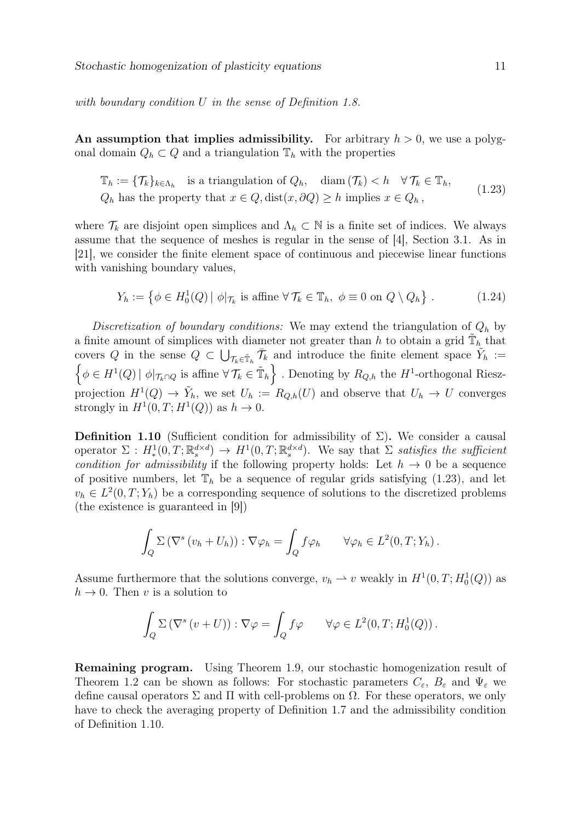with boundary condition U in the sense of Definition 1.8.

An assumption that implies admissibility. For arbitrary  $h > 0$ , we use a polygonal domain  $Q_h \subset Q$  and a triangulation  $\mathbb{T}_h$  with the properties

$$
\mathbb{T}_h := \{ \mathcal{T}_k \}_{k \in \Lambda_h} \text{ is a triangulation of } Q_h, \quad \text{diam}(\mathcal{T}_k) < h \quad \forall \mathcal{T}_k \in \mathbb{T}_h, Q_h \text{ has the property that } x \in Q, \text{dist}(x, \partial Q) \ge h \text{ implies } x \in Q_h,
$$
\n
$$
(1.23)
$$

where  $\mathcal{T}_k$  are disjoint open simplices and  $\Lambda_h \subset \mathbb{N}$  is a finite set of indices. We always assume that the sequence of meshes is regular in the sense of [4], Section 3.1. As in [21], we consider the finite element space of continuous and piecewise linear functions with vanishing boundary values,

$$
Y_h := \left\{ \phi \in H_0^1(Q) \, | \phi|_{\mathcal{T}_k} \text{ is affine } \forall \mathcal{T}_k \in \mathbb{T}_h, \phi \equiv 0 \text{ on } Q \setminus Q_h \right\}. \tag{1.24}
$$

Discretization of boundary conditions: We may extend the triangulation of  $Q_h$  by a finite amount of simplices with diameter not greater than h to obtain a grid  $\tilde{\mathbb{T}}_h$  that covers Q in the sense  $Q \subset \bigcup_{\mathcal{T}_k \in \tilde{\mathbb{T}}_h} \overline{\mathcal{T}}_k$  and introduce the finite element space  $\tilde{Y}_h :=$  $\left\{\phi \in H^1(Q) \,|\,\phi|_{\mathcal{T}_k \cap Q} \text{ is affine } \forall \mathcal{T}_k \in \tilde{\mathbb{T}}_h\right\}.$  Denoting by  $R_{Q,h}$  the  $H^1$ -orthogonal Rieszprojection  $H^1(Q) \to \tilde{Y}_h$ , we set  $U_h := R_{Q,h}(U)$  and observe that  $U_h \to U$  converges strongly in  $H^1(0,T;H^1(Q))$  as  $h \to 0$ .

**Definition 1.10** (Sufficient condition for admissibility of  $\Sigma$ ). We consider a causal operator  $\Sigma : H^1_*(0,T;\mathbb{R}^{d\times d}_s) \to H^1(0,T;\mathbb{R}^{d\times d}_s)$ . We say that  $\Sigma$  satisfies the sufficient condition for admissibility if the following property holds: Let  $h \to 0$  be a sequence of positive numbers, let  $\mathbb{T}_h$  be a sequence of regular grids satisfying (1.23), and let  $v_h \in L^2(0,T; Y_h)$  be a corresponding sequence of solutions to the discretized problems (the existence is guaranteed in [9])

$$
\int_{Q} \Sigma \left( \nabla^{s} \left( v_{h} + U_{h} \right) \right) : \nabla \varphi_{h} = \int_{Q} f \varphi_{h} \qquad \forall \varphi_{h} \in L^{2}(0, T; Y_{h}).
$$

Assume furthermore that the solutions converge,  $v_h \rightharpoonup v$  weakly in  $H^1(0,T; H_0^1(Q))$  as  $h \to 0$ . Then v is a solution to

$$
\int_{Q} \Sigma \left( \nabla^{s} \left( v + U \right) \right) : \nabla \varphi = \int_{Q} f \varphi \qquad \forall \varphi \in L^{2}(0, T; H_{0}^{1}(Q)).
$$

Remaining program. Using Theorem 1.9, our stochastic homogenization result of Theorem 1.2 can be shown as follows: For stochastic parameters  $C_{\varepsilon}$ ,  $B_{\varepsilon}$  and  $\Psi_{\varepsilon}$  we define causal operators  $\Sigma$  and  $\Pi$  with cell-problems on  $\Omega$ . For these operators, we only have to check the averaging property of Definition 1.7 and the admissibility condition of Definition 1.10.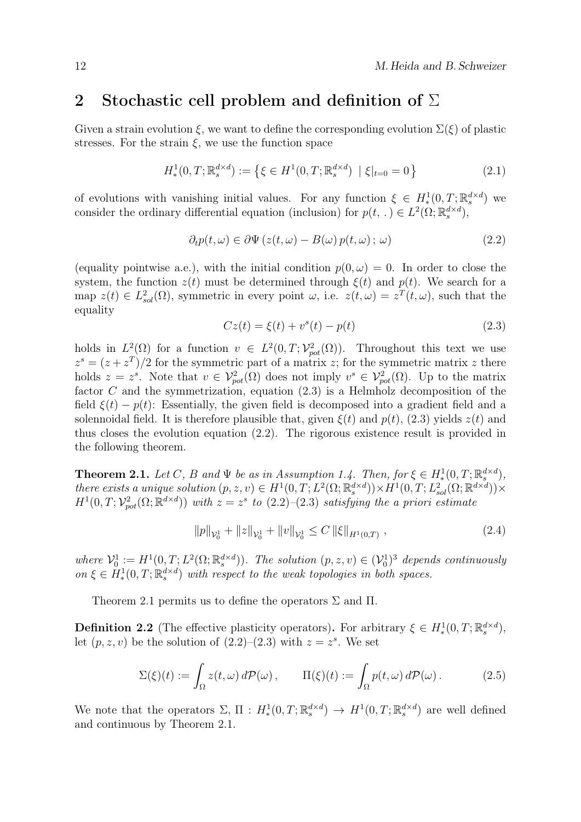## 2 Stochastic cell problem and definition of  $\Sigma$

Given a strain evolution  $\xi$ , we want to define the corresponding evolution  $\Sigma(\xi)$  of plastic stresses. For the strain  $\xi$ , we use the function space

$$
H^1_*(0, T; \mathbb{R}_s^{d \times d}) := \left\{ \xi \in H^1(0, T; \mathbb{R}_s^{d \times d}) \: \middle| \: \xi|_{t=0} = 0 \right\} \tag{2.1}
$$

of evolutions with vanishing initial values. For any function  $\xi \in H_*^1(0,T;\mathbb{R}^{d \times d}_s)$  we consider the ordinary differential equation (inclusion) for  $p(t,.) \in L^2(\Omega;\mathbb{R}^{d \times d}_{s}),$ 

$$
\partial_t p(t,\omega) \in \partial \Psi \left( z(t,\omega) - B(\omega) \, p(t,\omega) \, ; \, \omega \right) \tag{2.2}
$$

(equality pointwise a.e.), with the initial condition  $p(0, \omega) = 0$ . In order to close the system, the function  $z(t)$  must be determined through  $\xi(t)$  and  $p(t)$ . We search for a map  $z(t) \in L^2_{sol}(\Omega)$ , symmetric in every point  $\omega$ , i.e.  $z(t,\omega) = z^T(t,\omega)$ , such that the equality

$$
Cz(t) = \xi(t) + v^{s}(t) - p(t)
$$
\n(2.3)

holds in  $L^2(\Omega)$  for a function  $v \in L^2(0,T; \mathcal{V}_{pot}^2(\Omega))$ . Throughout this text we use  $z^{s} = (z + z^{T})/2$  for the symmetric part of a matrix z; for the symmetric matrix z there holds  $z = z^s$ . Note that  $v \in V_{pot}^2(\Omega)$  does not imply  $v^s \in V_{pot}^2(\Omega)$ . Up to the matrix factor C and the symmetrization, equation  $(2.3)$  is a Helmholz decomposition of the field  $\xi(t) - p(t)$ : Essentially, the given field is decomposed into a gradient field and a solennoidal field. It is therefore plausible that, given  $\xi(t)$  and  $p(t)$ , (2.3) yields  $z(t)$  and thus closes the evolution equation (2.2). The rigorous existence result is provided in the following theorem.

**Theorem 2.1.** Let C, B and  $\Psi$  be as in Assumption 1.4. Then, for  $\xi \in H_*^1(0,T;\mathbb{R}_s^{d \times d})$ , there exists a unique solution  $(p, z, v) \in H^1(0, T; L^2(\Omega; \mathbb{R}^{d \times d}_s)) \times H^1(0, T; L^2_{sol}(\Omega; \mathbb{R}^{d \times d})) \times$  $H^1(0,T; \mathcal{V}_{pot}^2(\Omega;\mathbb{R}^{d\times d}))$  with  $z=z^s$  to  $(2.2)-(2.3)$  satisfying the a priori estimate

$$
||p||_{\mathcal{V}_0^1} + ||z||_{\mathcal{V}_0^1} + ||v||_{\mathcal{V}_0^1} \le C ||\xi||_{H^1(0,T)},
$$
\n(2.4)

where  $\mathcal{V}_0^1 := H^1(0,T; L^2(\Omega;\mathbb{R}^{d \times d}_s))$ . The solution  $(p, z, v) \in (\mathcal{V}_0^1)^3$  depends continuously on  $\xi \in H_*^1(0,T;\mathbb{R}^{d \times d}_s)$  with respect to the weak topologies in both spaces.

Theorem 2.1 permits us to define the operators  $\Sigma$  and  $\Pi$ .

**Definition 2.2** (The effective plasticity operators). For arbitrary  $\xi \in H_*^1(0,T;\mathbb{R}_s^{d \times d})$ , let  $(p, z, v)$  be the solution of  $(2.2)$ – $(2.3)$  with  $z = z<sup>s</sup>$ . We set

$$
\Sigma(\xi)(t) := \int_{\Omega} z(t,\omega) d\mathcal{P}(\omega), \qquad \Pi(\xi)(t) := \int_{\Omega} p(t,\omega) d\mathcal{P}(\omega).
$$
 (2.5)

We note that the operators  $\Sigma$ ,  $\Pi$ :  $H^1_*(0,T;\mathbb{R}^{d\times d}_s) \to H^1(0,T;\mathbb{R}^{d\times d}_s)$  are well defined and continuous by Theorem 2.1.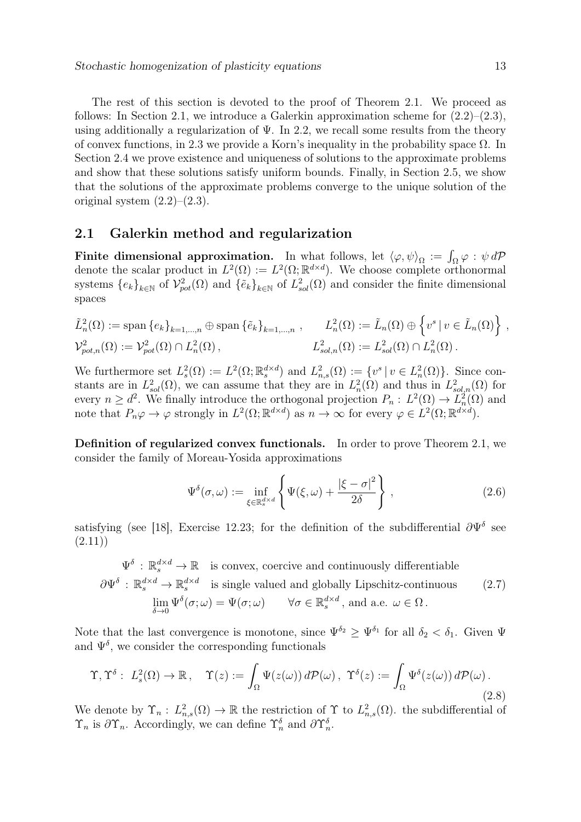The rest of this section is devoted to the proof of Theorem 2.1. We proceed as follows: In Section 2.1, we introduce a Galerkin approximation scheme for  $(2.2)$ – $(2.3)$ , using additionally a regularization of  $\Psi$ . In 2.2, we recall some results from the theory of convex functions, in 2.3 we provide a Korn's inequality in the probability space  $\Omega$ . In Section 2.4 we prove existence and uniqueness of solutions to the approximate problems and show that these solutions satisfy uniform bounds. Finally, in Section 2.5, we show that the solutions of the approximate problems converge to the unique solution of the original system  $(2.2)$ – $(2.3)$ .

### 2.1 Galerkin method and regularization

Finite dimensional approximation. In what follows, let  $\langle \varphi, \psi \rangle_{\Omega} := \int_{\Omega} \varphi : \psi \, d\mathcal{P}$ denote the scalar product in  $L^2(\Omega) := L^2(\Omega; \mathbb{R}^{d \times d})$ . We choose complete orthonormal systems  ${e_k}_{k\in\mathbb{N}}$  of  $\mathcal{V}_{pot}^2(\Omega)$  and  ${\{\tilde{e}_k\}}_{k\in\mathbb{N}}$  of  $L^2_{sol}(\Omega)$  and consider the finite dimensional spaces

$$
\tilde{L}_n^2(\Omega) := \text{span}\left\{e_k\right\}_{k=1,\dots,n} \oplus \text{span}\left\{\tilde{e}_k\right\}_{k=1,\dots,n}, \qquad L_n^2(\Omega) := \tilde{L}_n(\Omega) \oplus \left\{v^s \mid v \in \tilde{L}_n(\Omega)\right\},
$$
\n
$$
\mathcal{V}_{pot,n}^2(\Omega) := \mathcal{V}_{pot}^2(\Omega) \cap L_n^2(\Omega), \qquad L_{sol,n}^2(\Omega) := L_{sol}^2(\Omega) \cap L_n^2(\Omega).
$$

We furthermore set  $L_s^2(\Omega) := L^2(\Omega; \mathbb{R}_s^{d \times d})$  and  $L_{n,s}^2(\Omega) := \{v^s | v \in L_n^2(\Omega)\}\.$  Since constants are in  $L_{sol}^2(\Omega)$ , we can assume that they are in  $L_n^2(\Omega)$  and thus in  $L_{sol,n}^2(\Omega)$  for every  $n \geq d^2$ . We finally introduce the orthogonal projection  $P_n: L^2(\Omega) \to L^2_n(\Omega)$  and note that  $P_n\varphi \to \varphi$  strongly in  $L^2(\Omega;\mathbb{R}^{d \times d})$  as  $n \to \infty$  for every  $\varphi \in L^2(\Omega;\mathbb{R}^{d \times d})$ .

Definition of regularized convex functionals. In order to prove Theorem 2.1, we consider the family of Moreau-Yosida approximations

$$
\Psi^{\delta}(\sigma,\omega) := \inf_{\xi \in \mathbb{R}_s^{d \times d}} \left\{ \Psi(\xi,\omega) + \frac{|\xi - \sigma|^2}{2\delta} \right\},\tag{2.6}
$$

satisfying (see [18], Exercise 12.23; for the definition of the subdifferential  $\partial \Psi^{\delta}$  see  $(2.11)$ 

 $\Psi^{\delta}: \mathbb{R}_s^{d \times d} \to \mathbb{R}$  is convex, coercive and continuously differentiable  $\partial \Psi^{\delta} : \mathbb{R}^{d \times d}_{s} \to \mathbb{R}^{d \times d}_{s}$  is single valued and globally Lipschitz-continuous (2.7)  $\lim_{\delta \to 0} \Psi^{\delta}(\sigma; \omega) = \Psi(\sigma; \omega) \quad \forall \sigma \in \mathbb{R}^{d \times d}_{s}$ , and a.e.  $\omega \in \Omega$ .

Note that the last convergence is monotone, since  $\Psi^{\delta_2} \geq \Psi^{\delta_1}$  for all  $\delta_2 < \delta_1$ . Given  $\Psi$ and  $\Psi^{\delta}$ , we consider the corresponding functionals

$$
\Upsilon, \Upsilon^{\delta}: L_s^2(\Omega) \to \mathbb{R}, \quad \Upsilon(z) := \int_{\Omega} \Psi(z(\omega)) d\mathcal{P}(\omega), \ \Upsilon^{\delta}(z) := \int_{\Omega} \Psi^{\delta}(z(\omega)) d\mathcal{P}(\omega).
$$
\n(2.8)

We denote by  $\Upsilon_n: L^2_{n,s}(\Omega) \to \mathbb{R}$  the restriction of  $\Upsilon$  to  $L^2_{n,s}(\Omega)$ . the subdifferential of  $\Upsilon_n$  is  $\partial \Upsilon_n$ . Accordingly, we can define  $\Upsilon_n^{\delta}$  and  $\partial \Upsilon_n^{\delta}$ .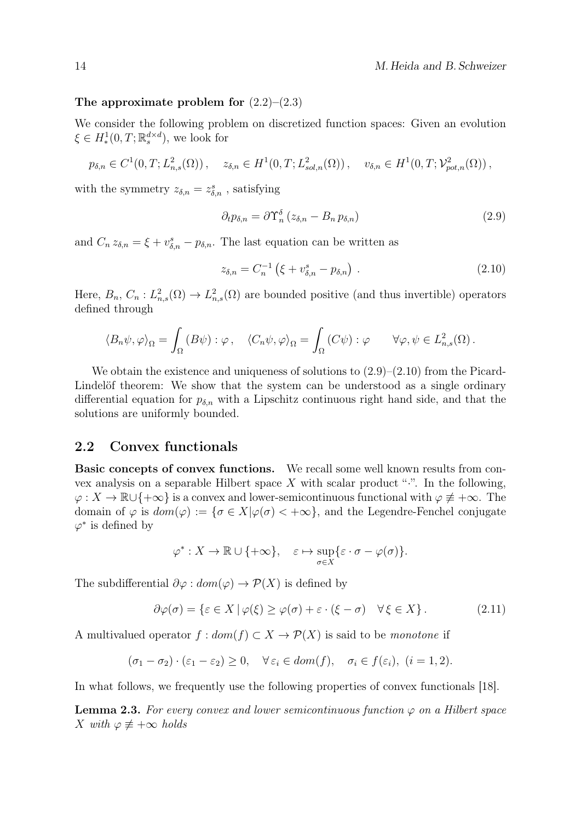#### The approximate problem for  $(2.2)$ – $(2.3)$

We consider the following problem on discretized function spaces: Given an evolution  $\xi \in H^1_*(0,T;\mathbb{R}^{d \times d}_s)$ , we look for

$$
p_{\delta,n} \in C^1(0,T; L^2_{n,s}(\Omega)), \quad z_{\delta,n} \in H^1(0,T; L^2_{sol,n}(\Omega)), \quad v_{\delta,n} \in H^1(0,T; \mathcal{V}^2_{pot,n}(\Omega)),
$$

with the symmetry  $z_{\delta,n} = z_{\delta,n}^s$ , satisfying

$$
\partial_t p_{\delta,n} = \partial \Upsilon_n^{\delta} \left( z_{\delta,n} - B_n \, p_{\delta,n} \right) \tag{2.9}
$$

and  $C_n z_{\delta,n} = \xi + v_{\delta,n}^s - p_{\delta,n}$ . The last equation can be written as

$$
z_{\delta,n} = C_n^{-1} \left( \xi + v_{\delta,n}^s - p_{\delta,n} \right) \,. \tag{2.10}
$$

Here,  $B_n$ ,  $C_n$ :  $L^2_{n,s}(\Omega) \to L^2_{n,s}(\Omega)$  are bounded positive (and thus invertible) operators defined through

$$
\langle B_n \psi, \varphi \rangle_{\Omega} = \int_{\Omega} (B\psi) : \varphi, \quad \langle C_n \psi, \varphi \rangle_{\Omega} = \int_{\Omega} (C\psi) : \varphi \qquad \forall \varphi, \psi \in L^2_{n,s}(\Omega).
$$

We obtain the existence and uniqueness of solutions to  $(2.9)$ – $(2.10)$  from the Picard-Lindelöf theorem: We show that the system can be understood as a single ordinary differential equation for  $p_{\delta,n}$  with a Lipschitz continuous right hand side, and that the solutions are uniformly bounded.

### 2.2 Convex functionals

Basic concepts of convex functions. We recall some well known results from convex analysis on a separable Hilbert space  $X$  with scalar product " $\cdot$ ". In the following,  $\varphi: X \to \mathbb{R} \cup \{+\infty\}$  is a convex and lower-semicontinuous functional with  $\varphi \neq +\infty$ . The domain of  $\varphi$  is  $dom(\varphi) := {\sigma \in X | \varphi(\sigma) < +\infty}$ , and the Legendre-Fenchel conjugate  $\varphi^*$  is defined by

$$
\varphi^*: X \to \mathbb{R} \cup \{+\infty\}, \quad \varepsilon \mapsto \sup_{\sigma \in X} \{\varepsilon \cdot \sigma - \varphi(\sigma)\}.
$$

The subdifferential  $\partial \varphi : dom(\varphi) \to \mathcal{P}(X)$  is defined by

$$
\partial \varphi(\sigma) = \{ \varepsilon \in X \, | \, \varphi(\xi) \ge \varphi(\sigma) + \varepsilon \cdot (\xi - \sigma) \quad \forall \, \xi \in X \}. \tag{2.11}
$$

A multivalued operator  $f : dom(f) \subset X \to \mathcal{P}(X)$  is said to be *monotone* if

$$
(\sigma_1 - \sigma_2) \cdot (\varepsilon_1 - \varepsilon_2) \ge 0
$$
,  $\forall \varepsilon_i \in dom(f)$ ,  $\sigma_i \in f(\varepsilon_i)$ ,  $(i = 1, 2)$ .

In what follows, we frequently use the following properties of convex functionals [18].

**Lemma 2.3.** For every convex and lower semicontinuous function  $\varphi$  on a Hilbert space X with  $\varphi \not\equiv +\infty$  holds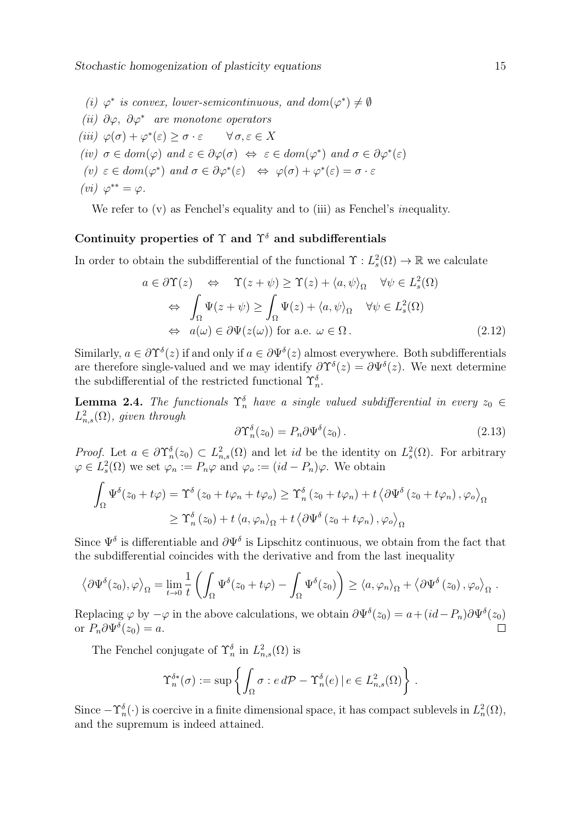(i)  $\varphi^*$  is convex, lower-semicontinuous, and dom $(\varphi^*) \neq \emptyset$ (ii)  $\partial \varphi$ ,  $\partial \varphi^*$  are monotone operators (iii)  $\varphi(\sigma) + \varphi^*(\varepsilon) \geq \sigma \cdot \varepsilon \quad \forall \sigma, \varepsilon \in X$ (iv)  $\sigma \in dom(\varphi)$  and  $\varepsilon \in \partial \varphi(\sigma) \Leftrightarrow \varepsilon \in dom(\varphi^*)$  and  $\sigma \in \partial \varphi^*(\varepsilon)$ (v)  $\varepsilon \in dom(\varphi^*)$  and  $\sigma \in \partial \varphi^*(\varepsilon) \iff \varphi(\sigma) + \varphi^*(\varepsilon) = \sigma \cdot \varepsilon$ (vi)  $\varphi^{**} = \varphi$ .

We refer to (v) as Fenchel's equality and to (iii) as Fenchel's *inequality*.

### Continuity properties of  $\Upsilon$  and  $\Upsilon^{\delta}$  and subdifferentials

In order to obtain the subdifferential of the functional  $\Upsilon : L^2_s(\Omega) \to \mathbb{R}$  we calculate

$$
a \in \partial \Upsilon(z) \iff \Upsilon(z + \psi) \ge \Upsilon(z) + \langle a, \psi \rangle_{\Omega} \quad \forall \psi \in L_s^2(\Omega)
$$
  
\n
$$
\iff \int_{\Omega} \Psi(z + \psi) \ge \int_{\Omega} \Psi(z) + \langle a, \psi \rangle_{\Omega} \quad \forall \psi \in L_s^2(\Omega)
$$
  
\n
$$
\iff a(\omega) \in \partial \Psi(z(\omega)) \text{ for a.e. } \omega \in \Omega.
$$
 (2.12)

Similarly,  $a \in \partial \Upsilon^{\delta}(z)$  if and only if  $a \in \partial \Psi^{\delta}(z)$  almost everywhere. Both subdifferentials are therefore single-valued and we may identify  $\partial \Upsilon^{\delta}(z) = \partial \Psi^{\delta}(z)$ . We next determine the subdifferential of the restricted functional  $\Upsilon_n^{\delta}$ .

**Lemma 2.4.** The functionals  $\Upsilon_n^{\delta}$  have a single valued subdifferential in every  $z_0 \in$  $L^2_{n,s}(\Omega)$ , given through

$$
\partial \Upsilon_n^{\delta}(z_0) = P_n \partial \Psi^{\delta}(z_0).
$$
\n(2.13)

*Proof.* Let  $a \in \partial \Upsilon_n^{\delta}(z_0) \subset L_{n,s}^2(\Omega)$  and let id be the identity on  $L_s^2(\Omega)$ . For arbitrary  $\varphi \in L^2_s(\Omega)$  we set  $\varphi_n := P_n \varphi$  and  $\varphi_o := (id - P_n) \varphi$ . We obtain

$$
\int_{\Omega} \Psi^{\delta}(z_0 + t\varphi) = \Upsilon^{\delta}(z_0 + t\varphi_n + t\varphi_o) \geq \Upsilon^{\delta}_n(z_0 + t\varphi_n) + t \langle \partial \Psi^{\delta}(z_0 + t\varphi_n), \varphi_o \rangle_{\Omega}
$$
  

$$
\geq \Upsilon^{\delta}_n(z_0) + t \langle a, \varphi_n \rangle_{\Omega} + t \langle \partial \Psi^{\delta}(z_0 + t\varphi_n), \varphi_o \rangle_{\Omega}
$$

Since  $\Psi^{\delta}$  is differentiable and  $\partial \Psi^{\delta}$  is Lipschitz continuous, we obtain from the fact that the subdifferential coincides with the derivative and from the last inequality

$$
\left\langle \partial \Psi^{\delta}(z_0), \varphi \right\rangle_{\Omega} = \lim_{t \to 0} \frac{1}{t} \left( \int_{\Omega} \Psi^{\delta}(z_0 + t\varphi) - \int_{\Omega} \Psi^{\delta}(z_0) \right) \geq \left\langle a, \varphi_n \right\rangle_{\Omega} + \left\langle \partial \Psi^{\delta}(z_0), \varphi_o \right\rangle_{\Omega}.
$$

Replacing  $\varphi$  by  $-\varphi$  in the above calculations, we obtain  $\partial \Psi^{\delta}(z_0) = a + (id - P_n) \partial \Psi^{\delta}(z_0)$ or  $P_n \partial \Psi^{\delta}(z_0) = a$ .

The Fenchel conjugate of  $\Upsilon_n^{\delta}$  in  $L^2_{n,s}(\Omega)$  is

$$
\Upsilon_n^{\delta*}(\sigma) := \sup \left\{ \int_{\Omega} \sigma : e \, d\mathcal{P} - \Upsilon_n^{\delta}(e) \, | \, e \in L^2_{n,s}(\Omega) \right\} \, .
$$

Since  $-\Upsilon_n^{\delta}(\cdot)$  is coercive in a finite dimensional space, it has compact sublevels in  $L_n^2(\Omega)$ , and the supremum is indeed attained.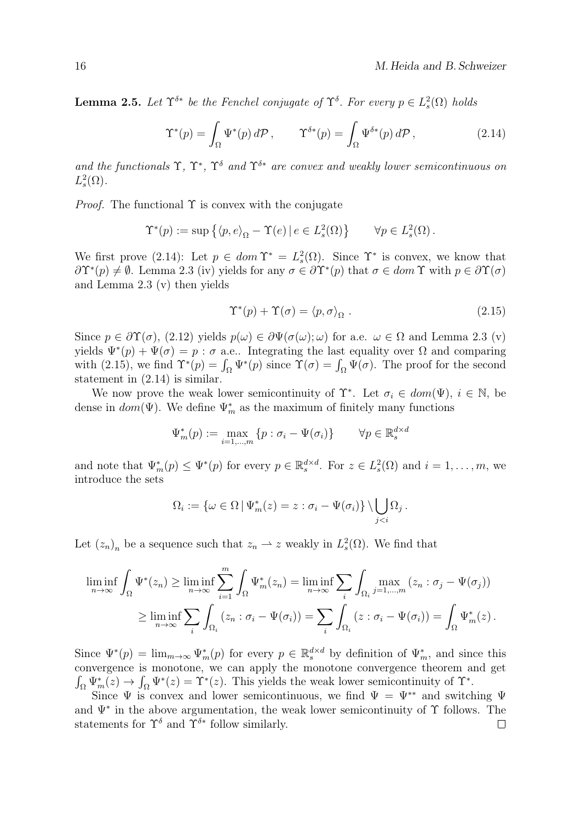**Lemma 2.5.** Let  $\Upsilon^{\delta*}$  be the Fenchel conjugate of  $\Upsilon^{\delta}$ . For every  $p \in L^2_s(\Omega)$  holds

$$
\Upsilon^*(p) = \int_{\Omega} \Psi^*(p) d\mathcal{P}, \qquad \Upsilon^{\delta^*}(p) = \int_{\Omega} \Psi^{\delta^*}(p) d\mathcal{P}, \qquad (2.14)
$$

and the functionals  $\Upsilon$ ,  $\Upsilon^*$ ,  $\Upsilon^{\delta}$  and  $\Upsilon^{\delta*}$  are convex and weakly lower semicontinuous on  $L_s^2(\Omega)$ .

*Proof.* The functional  $\Upsilon$  is convex with the conjugate

$$
\Upsilon^*(p) := \sup \left\{ \langle p, e \rangle_{\Omega} - \Upsilon(e) \, | \, e \in L_s^2(\Omega) \right\} \qquad \forall p \in L_s^2(\Omega).
$$

We first prove (2.14): Let  $p \in dom \Upsilon^* = L_s^2(\Omega)$ . Since  $\Upsilon^*$  is convex, we know that  $\partial \Upsilon^*(p) \neq \emptyset$ . Lemma 2.3 (iv) yields for any  $\sigma \in \partial \Upsilon^*(p)$  that  $\sigma \in dom \Upsilon$  with  $p \in \partial \Upsilon(\sigma)$ and Lemma 2.3 (v) then yields

$$
\Upsilon^*(p) + \Upsilon(\sigma) = \langle p, \sigma \rangle_{\Omega} . \tag{2.15}
$$

Since  $p \in \partial \Upsilon(\sigma)$ , (2.12) yields  $p(\omega) \in \partial \Psi(\sigma(\omega); \omega)$  for a.e.  $\omega \in \Omega$  and Lemma 2.3 (v) yields  $\Psi^*(p) + \Psi(\sigma) = p : \sigma$  a.e.. Integrating the last equality over  $\Omega$  and comparing with (2.15), we find  $\Upsilon^*(p) = \int_{\Omega} \Psi^*(p)$  since  $\Upsilon(\sigma) = \int_{\Omega} \Psi(\sigma)$ . The proof for the second statement in (2.14) is similar.

We now prove the weak lower semicontinuity of  $\Upsilon^*$ . Let  $\sigma_i \in dom(\Psi)$ ,  $i \in \mathbb{N}$ , be dense in  $dom(\Psi)$ . We define  $\Psi_m^*$  as the maximum of finitely many functions

$$
\Psi_m^*(p) := \max_{i=1,\dots,m} \{p : \sigma_i - \Psi(\sigma_i)\} \qquad \forall p \in \mathbb{R}_s^{d \times d}
$$

and note that  $\Psi_m^*(p) \leq \Psi^*(p)$  for every  $p \in \mathbb{R}^{d \times d}_s$ . For  $z \in L_s^2(\Omega)$  and  $i = 1, \ldots, m$ , we introduce the sets

$$
\Omega_i := \{ \omega \in \Omega \mid \Psi_m^*(z) = z : \sigma_i - \Psi(\sigma_i) \} \setminus \bigcup_{j < i} \Omega_j \, .
$$

Let  $(z_n)_n$  be a sequence such that  $z_n \to z$  weakly in  $L^2_s(\Omega)$ . We find that

$$
\liminf_{n \to \infty} \int_{\Omega} \Psi^*(z_n) \ge \liminf_{n \to \infty} \sum_{i=1}^m \int_{\Omega} \Psi^*_m(z_n) = \liminf_{n \to \infty} \sum_i \int_{\Omega_i} \max_{j=1,\dots,m} (z_n : \sigma_j - \Psi(\sigma_j))
$$

$$
\ge \liminf_{n \to \infty} \sum_i \int_{\Omega_i} (z_n : \sigma_i - \Psi(\sigma_i)) = \sum_i \int_{\Omega_i} (z : \sigma_i - \Psi(\sigma_i)) = \int_{\Omega} \Psi^*_m(z).
$$

Since  $\Psi^*(p) = \lim_{m \to \infty} \Psi^*_m(p)$  for every  $p \in \mathbb{R}^{d \times d}_s$  by definition of  $\Psi^*_m$ , and since this convergence is monotone, we can apply the monotone convergence theorem and get  $\int_{\Omega} \Psi_m^*(z) \to \int_{\Omega} \Psi^*(z) = \Upsilon^*(z)$ . This yields the weak lower semicontinuity of  $\Upsilon^*$ .

Since  $\Psi$  is convex and lower semicontinuous, we find  $\Psi = \Psi^{**}$  and switching  $\Psi$ and  $\Psi^*$  in the above argumentation, the weak lower semicontinuity of  $\Upsilon$  follows. The statements for  $\Upsilon^{\delta}$  and  $\Upsilon^{\delta*}$  follow similarly.  $\Box$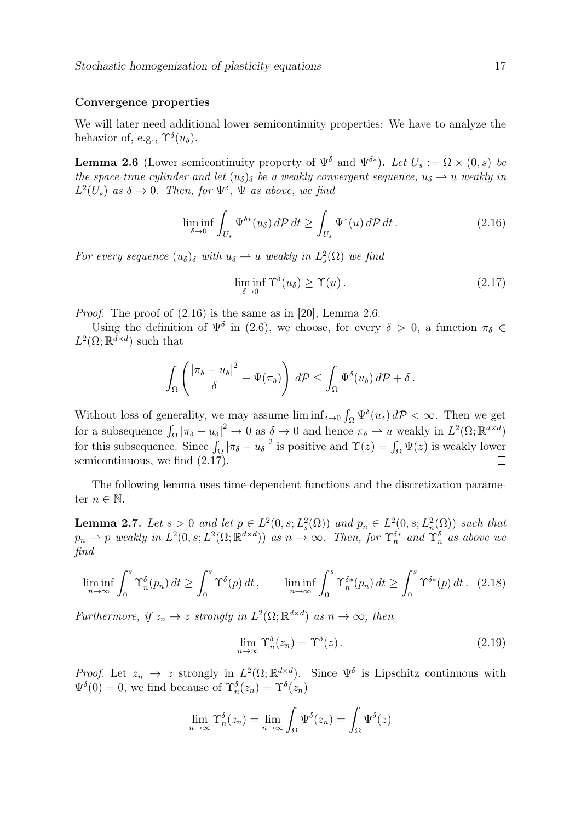#### Convergence properties

We will later need additional lower semicontinuity properties: We have to analyze the behavior of, e.g.,  $\Upsilon^{\delta}(u_{\delta})$ .

**Lemma 2.6** (Lower semicontinuity property of  $\Psi^{\delta}$  and  $\Psi^{\delta*}$ ). Let  $U_s := \Omega \times (0, s)$  be the space-time cylinder and let  $(u_{\delta})_{\delta}$  be a weakly convergent sequence,  $u_{\delta} \to u$  weakly in  $L^2(U_s)$  as  $\delta \to 0$ . Then, for  $\Psi^{\delta}$ ,  $\Psi$  as above, we find

$$
\liminf_{\delta \to 0} \int_{U_s} \Psi^{\delta*}(u_\delta) d\mathcal{P} dt \ge \int_{U_s} \Psi^*(u) d\mathcal{P} dt.
$$
 (2.16)

For every sequence  $(u_{\delta})_{\delta}$  with  $u_{\delta} \rightharpoonup u$  weakly in  $L^2_{s}(\Omega)$  we find

$$
\liminf_{\delta \to 0} \Upsilon^{\delta}(u_{\delta}) \ge \Upsilon(u). \tag{2.17}
$$

Proof. The proof of (2.16) is the same as in [20], Lemma 2.6.

Using the definition of  $\Psi^{\delta}$  in (2.6), we choose, for every  $\delta > 0$ , a function  $\pi_{\delta} \in$  $L^2(\Omega;\mathbb{R}^{d\times d})$  such that

$$
\int_{\Omega} \left( \frac{|\pi_{\delta} - u_{\delta}|^2}{\delta} + \Psi(\pi_{\delta}) \right) d\mathcal{P} \leq \int_{\Omega} \Psi^{\delta}(u_{\delta}) d\mathcal{P} + \delta.
$$

Without loss of generality, we may assume  $\liminf_{\delta \to 0} \int_{\Omega} \Psi^{\delta}(u_{\delta}) d\mathcal{P} < \infty$ . Then we get for a subsequence  $\int_{\Omega} |\pi_{\delta} - u_{\delta}|^2 \to 0$  as  $\delta \to 0$  and hence  $\pi_{\delta} \to u$  weakly in  $L^2(\Omega; \mathbb{R}^{d \times d})$ for this subsequence. Since  $\int_{\Omega} |\pi_{\delta} - u_{\delta}|^2$  is positive and  $\Upsilon(z) = \int_{\Omega} \Psi(z)$  is weakly lower semicontinuous, we find (2.17).

The following lemma uses time-dependent functions and the discretization parameter  $n \in \mathbb{N}$ .

**Lemma 2.7.** Let  $s > 0$  and let  $p \in L^2(0, s; L^2_s(\Omega))$  and  $p_n \in L^2(0, s; L^2_n(\Omega))$  such that  $p_n \rightharpoonup p$  weakly in  $L^2(0, s; L^2(\Omega; \mathbb{R}^{d \times d}))$  as  $n \to \infty$ . Then, for  $\Upsilon_n^{\delta^*}$  and  $\Upsilon_n^{\delta}$  as above we find

$$
\liminf_{n \to \infty} \int_0^s \Upsilon_n^{\delta}(p_n) dt \ge \int_0^s \Upsilon^{\delta}(p) dt, \qquad \liminf_{n \to \infty} \int_0^s \Upsilon_n^{\delta*}(p_n) dt \ge \int_0^s \Upsilon^{\delta*}(p) dt. \tag{2.18}
$$

Furthermore, if  $z_n \to z$  strongly in  $L^2(\Omega; \mathbb{R}^{d \times d})$  as  $n \to \infty$ , then

$$
\lim_{n \to \infty} \Upsilon_n^{\delta}(z_n) = \Upsilon^{\delta}(z).
$$
\n(2.19)

*Proof.* Let  $z_n \to z$  strongly in  $L^2(\Omega; \mathbb{R}^{d \times d})$ . Since  $\Psi^{\delta}$  is Lipschitz continuous with  $\Psi^{\delta}(0) = 0$ , we find because of  $\Upsilon_n^{\delta}(z_n) = \Upsilon^{\delta}(z_n)$ 

$$
\lim_{n \to \infty} \Upsilon_n^{\delta}(z_n) = \lim_{n \to \infty} \int_{\Omega} \Psi^{\delta}(z_n) = \int_{\Omega} \Psi^{\delta}(z)
$$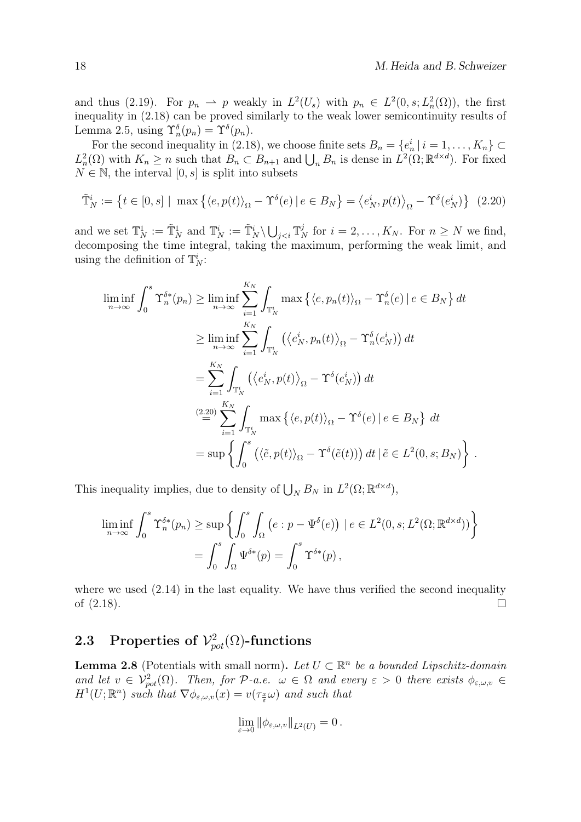and thus (2.19). For  $p_n \rightharpoonup p$  weakly in  $L^2(U_s)$  with  $p_n \in L^2(0, s; L^2_n(\Omega))$ , the first inequality in (2.18) can be proved similarly to the weak lower semicontinuity results of Lemma 2.5, using  $\Upsilon_n^{\delta}(p_n) = \Upsilon^{\delta}(p_n)$ .

For the second inequality in (2.18), we choose finite sets  $B_n = \{e_n^i | i = 1, \ldots, K_n\} \subset$  $L_n^2(\Omega)$  with  $K_n \geq n$  such that  $B_n \subset B_{n+1}$  and  $\bigcup_n B_n$  is dense in  $L^2(\Omega;\mathbb{R}^{d \times d})$ . For fixed  $N \in \mathbb{N}$ , the interval  $[0, s]$  is split into subsets

$$
\tilde{\mathbb{T}}_N^i := \left\{ t \in [0, s] \mid \max \left\{ \langle e, p(t) \rangle_{\Omega} - \Upsilon^{\delta}(e) \mid e \in B_N \right\} = \left\langle e_N^i, p(t) \right\rangle_{\Omega} - \Upsilon^{\delta}(e_N^i) \right\} (2.20)
$$

and we set  $\mathbb{T}_N^1 := \tilde{\mathbb{T}}_N^1$  and  $\mathbb{T}_N^i := \tilde{\mathbb{T}}_N^i \setminus \bigcup_{j < i} \mathbb{T}_N^j$  for  $i = 2, \ldots, K_N$ . For  $n \geq N$  we find, decomposing the time integral, taking the maximum, performing the weak limit, and using the definition of  $\mathbb{T}_N^i$ :

$$
\liminf_{n \to \infty} \int_0^s \Upsilon_n^{\delta*}(p_n) \ge \liminf_{n \to \infty} \sum_{i=1}^{K_N} \int_{\mathbb{T}_N^i} \max \left\{ \langle e, p_n(t) \rangle_{\Omega} - \Upsilon_n^{\delta}(e) \, | \, e \in B_N \right\} dt
$$
\n
$$
\ge \liminf_{n \to \infty} \sum_{i=1}^{K_N} \int_{\mathbb{T}_N^i} \left( \langle e_N^i, p_n(t) \rangle_{\Omega} - \Upsilon_n^{\delta}(e_N^i) \right) dt
$$
\n
$$
= \sum_{i=1}^{K_N} \int_{\mathbb{T}_N^i} \left( \langle e_N^i, p(t) \rangle_{\Omega} - \Upsilon_n^{\delta}(e_N^i) \right) dt
$$
\n
$$
\stackrel{(2.20)}{=} \sum_{i=1}^{K_N} \int_{\mathbb{T}_N^i} \max \left\{ \langle e, p(t) \rangle_{\Omega} - \Upsilon_n^{\delta}(e) \, | \, e \in B_N \right\} dt
$$
\n
$$
= \sup \left\{ \int_0^s \left( \langle \tilde{e}, p(t) \rangle_{\Omega} - \Upsilon_n^{\delta}(\tilde{e}(t)) \right) dt \, | \, \tilde{e} \in L^2(0, s; B_N) \right\} .
$$

This inequality implies, due to density of  $\bigcup_N B_N$  in  $L^2(\Omega; \mathbb{R}^{d \times d})$ ,

$$
\liminf_{n \to \infty} \int_0^s \Upsilon_n^{\delta^*}(p_n) \ge \sup \left\{ \int_0^s \int_{\Omega} \left( e : p - \Psi^{\delta}(e) \right) \mid e \in L^2(0, s; L^2(\Omega; \mathbb{R}^{d \times d})) \right\}
$$

$$
= \int_0^s \int_{\Omega} \Psi^{\delta^*}(p) = \int_0^s \Upsilon^{\delta^*}(p),
$$

where we used  $(2.14)$  in the last equality. We have thus verified the second inequality of (2.18).  $\Box$ 

# 2.3 Properties of  $\mathcal{V}_{pot}^2(\Omega)$ -functions

**Lemma 2.8** (Potentials with small norm). Let  $U \subset \mathbb{R}^n$  be a bounded Lipschitz-domain and let  $v \in V_{pot}^2(\Omega)$ . Then, for P-a.e.  $\omega \in \Omega$  and every  $\varepsilon > 0$  there exists  $\phi_{\varepsilon,\omega,v} \in$  $H^1(U; \mathbb{R}^n)$  such that  $\nabla \phi_{\varepsilon,\omega,v}(x) = v(\tau_{\frac{x}{\varepsilon}}\omega)$  and such that

$$
\lim_{\varepsilon\to 0}\left\|\phi_{\varepsilon,\omega,v}\right\|_{L^2(U)}=0\,.
$$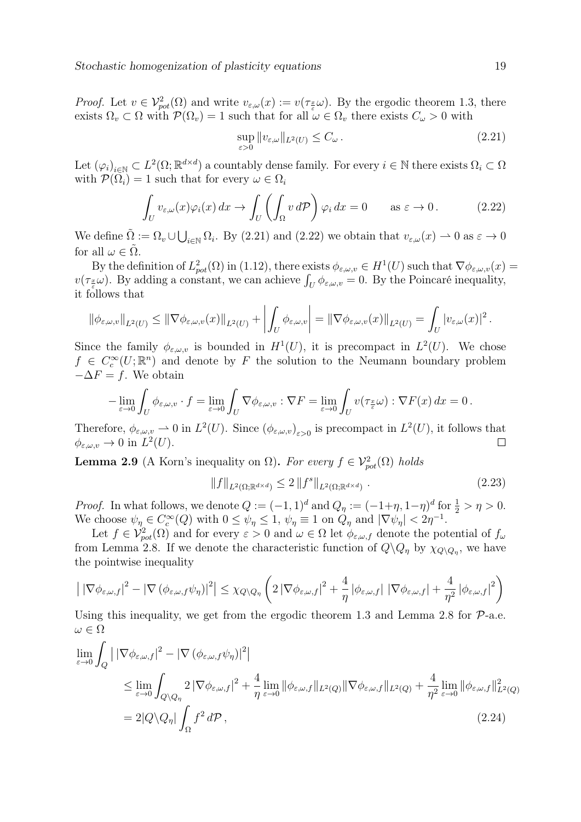*Proof.* Let  $v \in V_{pot}^2(\Omega)$  and write  $v_{\varepsilon,\omega}(x) := v(\tau_{\frac{x}{\varepsilon}}\omega)$ . By the ergodic theorem 1.3, there exists  $\Omega_v \subset \Omega$  with  $\mathcal{P}(\Omega_v) = 1$  such that for all  $\omega \in \Omega_v$  there exists  $C_{\omega} > 0$  with

$$
\sup_{\varepsilon>0} \|v_{\varepsilon,\omega}\|_{L^2(U)} \le C_\omega.
$$
\n(2.21)

Let  $(\varphi_i)_{i\in\mathbb{N}}\subset L^2(\Omega;\mathbb{R}^{d\times d})$  a countably dense family. For every  $i\in\mathbb{N}$  there exists  $\Omega_i\subset\Omega$ with  $\mathcal{P}(\Omega_i) = 1$  such that for every  $\omega \in \Omega_i$ 

$$
\int_{U} v_{\varepsilon,\omega}(x)\varphi_i(x) dx \to \int_{U} \left(\int_{\Omega} v d\mathcal{P}\right) \varphi_i dx = 0 \quad \text{as } \varepsilon \to 0. \tag{2.22}
$$

We define  $\tilde{\Omega} := \Omega_v \cup \bigcup_{i \in \mathbb{N}} \Omega_i$ . By (2.21) and (2.22) we obtain that  $v_{\varepsilon,\omega}(x) \to 0$  as  $\varepsilon \to 0$ for all  $\omega \in \tilde{\Omega}$ .

By the definition of  $L_{pot}^2(\Omega)$  in (1.12), there exists  $\phi_{\varepsilon,\omega,v} \in H^1(U)$  such that  $\nabla \phi_{\varepsilon,\omega,v}(x) =$  $v(\tau_{\frac{x}{\varepsilon}}\omega)$ . By adding a constant, we can achieve  $\int_U \phi_{\varepsilon,\omega,v} = 0$ . By the Poincaré inequality, it follows that

$$
\left\|\phi_{\varepsilon,\omega,v}\right\|_{L^2(U)} \le \left\|\nabla\phi_{\varepsilon,\omega,v}(x)\right\|_{L^2(U)} + \left|\int_U \phi_{\varepsilon,\omega,v}\right| = \left\|\nabla\phi_{\varepsilon,\omega,v}(x)\right\|_{L^2(U)} = \int_U |v_{\varepsilon,\omega}(x)|^2.
$$

Since the family  $\phi_{\varepsilon,\omega,v}$  is bounded in  $H^1(U)$ , it is precompact in  $L^2(U)$ . We chose  $f \in C_c^{\infty}(U;\mathbb{R}^n)$  and denote by F the solution to the Neumann boundary problem  $-\Delta F = f$ . We obtain

$$
-\lim_{\varepsilon\to 0}\int_U \phi_{\varepsilon,\omega,v}\cdot f=\lim_{\varepsilon\to 0}\int_U \nabla \phi_{\varepsilon,\omega,v}:\nabla F=\lim_{\varepsilon\to 0}\int_U v(\tau_{\frac{x}{\varepsilon}}\omega):\nabla F(x)\,dx=0\,.
$$

Therefore,  $\phi_{\varepsilon,\omega,v} \to 0$  in  $L^2(U)$ . Since  $(\phi_{\varepsilon,\omega,v})_{\varepsilon>0}$  is precompact in  $L^2(U)$ , it follows that  $\phi_{\varepsilon,\omega,v} \to 0$  in  $L^2(U)$ .  $\Box$ 

**Lemma 2.9** (A Korn's inequality on  $\Omega$ ). For every  $f \in V_{pot}^2(\Omega)$  holds

$$
||f||_{L^{2}(\Omega;\mathbb{R}^{d\times d})} \leq 2||f^{s}||_{L^{2}(\Omega;\mathbb{R}^{d\times d})}.
$$
\n(2.23)

*Proof.* In what follows, we denote  $Q := (-1,1)^d$  and  $Q_\eta := (-1+\eta,1-\eta)^d$  for  $\frac{1}{2} > \eta > 0$ . We choose  $\psi_{\eta} \in C_c^{\infty}(Q)$  with  $0 \le \psi_{\eta} \le 1$ ,  $\psi_{\eta} \equiv 1$  on  $Q_{\eta}$  and  $|\nabla \psi_{\eta}| < 2\eta^{-1}$ .

Let  $f \in \mathcal{V}_{pot}^2(\Omega)$  and for every  $\varepsilon > 0$  and  $\omega \in \Omega$  let  $\phi_{\varepsilon,\omega,f}$  denote the potential of  $f_{\omega}$ from Lemma 2.8. If we denote the characteristic function of  $Q \backslash Q_{\eta}$  by  $\chi_{Q \backslash Q_{\eta}}$ , we have the pointwise inequality

$$
\left| \left| \nabla \phi_{\varepsilon,\omega,f} \right|^2 - \left| \nabla \left( \phi_{\varepsilon,\omega,f} \psi_{\eta} \right) \right|^2 \right| \leq \chi_{Q \setminus Q_{\eta}} \left( 2 \left| \nabla \phi_{\varepsilon,\omega,f} \right|^2 + \frac{4}{\eta} \left| \phi_{\varepsilon,\omega,f} \right| \left| \nabla \phi_{\varepsilon,\omega,f} \right| + \frac{4}{\eta^2} \left| \phi_{\varepsilon,\omega,f} \right|^2 \right)
$$

Using this inequality, we get from the ergodic theorem 1.3 and Lemma 2.8 for  $\mathcal{P}\text{-a.e.}$  $\omega \in \Omega$ 

$$
\lim_{\varepsilon \to 0} \int_{Q} \left| |\nabla \phi_{\varepsilon,\omega,f} |^{2} - |\nabla (\phi_{\varepsilon,\omega,f} \psi_{\eta})|^{2} \right|
$$
\n
$$
\leq \lim_{\varepsilon \to 0} \int_{Q \setminus Q_{\eta}} 2 |\nabla \phi_{\varepsilon,\omega,f}|^{2} + \frac{4}{\eta} \lim_{\varepsilon \to 0} \|\phi_{\varepsilon,\omega,f}\|_{L^{2}(Q)} \|\nabla \phi_{\varepsilon,\omega,f}\|_{L^{2}(Q)} + \frac{4}{\eta^{2}} \lim_{\varepsilon \to 0} \|\phi_{\varepsilon,\omega,f}\|_{L^{2}(Q)}^{2}
$$
\n
$$
= 2|Q \setminus Q_{\eta}| \int_{\Omega} f^{2} d\mathcal{P},
$$
\n(2.24)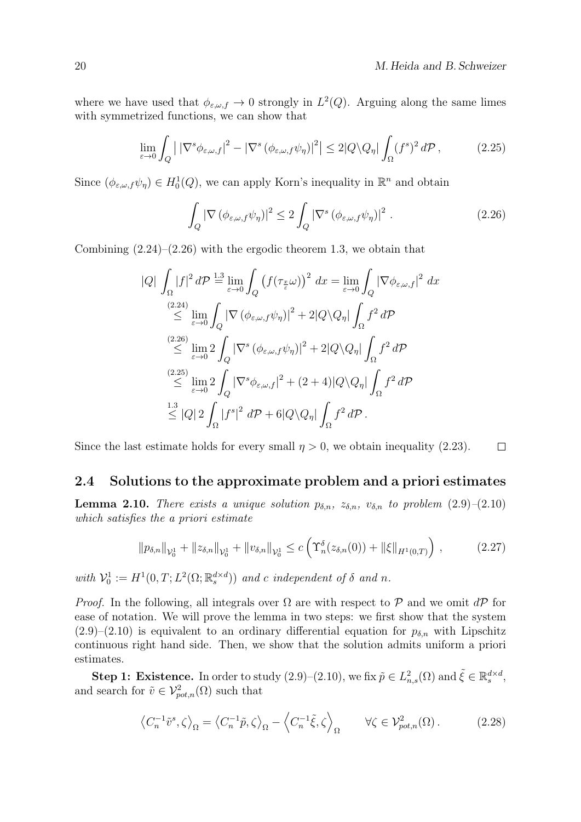where we have used that  $\phi_{\varepsilon,\omega,f} \to 0$  strongly in  $L^2(Q)$ . Arguing along the same limes with symmetrized functions, we can show that

$$
\lim_{\varepsilon \to 0} \int_{Q} \left| \left| \nabla^{s} \phi_{\varepsilon,\omega,f} \right|^{2} - \left| \nabla^{s} \left( \phi_{\varepsilon,\omega,f} \psi_{\eta} \right) \right|^{2} \right| \leq 2|Q \setminus Q_{\eta}| \int_{\Omega} (f^{s})^{2} d\mathcal{P}, \tag{2.25}
$$

Since  $(\phi_{\varepsilon,\omega,f}\psi_{\eta}) \in H_0^1(Q)$ , we can apply Korn's inequality in  $\mathbb{R}^n$  and obtain

$$
\int_{Q} |\nabla (\phi_{\varepsilon,\omega,f} \psi_{\eta})|^2 \le 2 \int_{Q} |\nabla^s (\phi_{\varepsilon,\omega,f} \psi_{\eta})|^2.
$$
\n(2.26)

Combining  $(2.24)$ – $(2.26)$  with the ergodic theorem 1.3, we obtain that

$$
|Q| \int_{\Omega} |f|^2 d\mathcal{P} \stackrel{1.3}{=} \lim_{\varepsilon \to 0} \int_{Q} (f(\tau_{\frac{x}{\varepsilon}}\omega))^2 dx = \lim_{\varepsilon \to 0} \int_{Q} |\nabla \phi_{\varepsilon,\omega,f}|^2 dx
$$
  
\n
$$
\leq \lim_{\varepsilon \to 0} \int_{Q} |\nabla (\phi_{\varepsilon,\omega,f}\psi_{\eta})|^2 + 2|Q \setminus Q_{\eta}| \int_{\Omega} f^2 d\mathcal{P}
$$
  
\n
$$
\leq \lim_{\varepsilon \to 0} 2 \int_{Q} |\nabla^s (\phi_{\varepsilon,\omega,f}\psi_{\eta})|^2 + 2|Q \setminus Q_{\eta}| \int_{\Omega} f^2 d\mathcal{P}
$$
  
\n
$$
\leq \lim_{\varepsilon \to 0} 2 \int_{Q} |\nabla^s \phi_{\varepsilon,\omega,f}|^2 + (2+4)|Q \setminus Q_{\eta}| \int_{\Omega} f^2 d\mathcal{P}
$$
  
\n
$$
\leq |Q| 2 \int_{\Omega} |f^s|^2 d\mathcal{P} + 6|Q \setminus Q_{\eta}| \int_{\Omega} f^2 d\mathcal{P}.
$$

Since the last estimate holds for every small  $\eta > 0$ , we obtain inequality (2.23).  $\Box$ 

#### 2.4 Solutions to the approximate problem and a priori estimates

**Lemma 2.10.** There exists a unique solution  $p_{\delta,n}$ ,  $z_{\delta,n}$ ,  $v_{\delta,n}$  to problem  $(2.9)$ - $(2.10)$ which satisfies the a priori estimate

$$
||p_{\delta,n}||_{\mathcal{V}_0^1} + ||z_{\delta,n}||_{\mathcal{V}_0^1} + ||v_{\delta,n}||_{\mathcal{V}_0^1} \le c \left(\Upsilon_n^{\delta}(z_{\delta,n}(0)) + ||\xi||_{H^1(0,T)}\right),\tag{2.27}
$$

with  $\mathcal{V}_0^1 := H^1(0,T; L^2(\Omega;\mathbb{R}^{d \times d}_s))$  and c independent of  $\delta$  and n.

*Proof.* In the following, all integrals over  $\Omega$  are with respect to P and we omit  $dP$  for ease of notation. We will prove the lemma in two steps: we first show that the system  $(2.9)$ – $(2.10)$  is equivalent to an ordinary differential equation for  $p_{\delta,n}$  with Lipschitz continuous right hand side. Then, we show that the solution admits uniform a priori estimates.

Step 1: Existence. In order to study  $(2.9)-(2.10)$ , we fix  $\tilde{p} \in L^2_{n,s}(\Omega)$  and  $\tilde{\xi} \in \mathbb{R}_s^{d \times d}$ , and search for  $\tilde{v} \in \mathcal{V}_{pot,n}^2(\Omega)$  such that

$$
\left\langle C_n^{-1}\tilde{v}^s, \zeta \right\rangle_{\Omega} = \left\langle C_n^{-1}\tilde{p}, \zeta \right\rangle_{\Omega} - \left\langle C_n^{-1}\tilde{\xi}, \zeta \right\rangle_{\Omega} \qquad \forall \zeta \in \mathcal{V}_{pot,n}^2(\Omega). \tag{2.28}
$$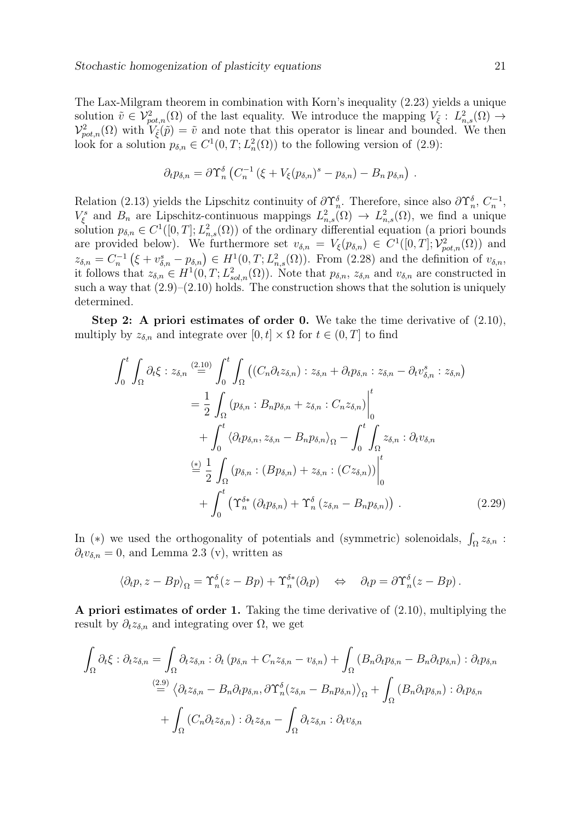The Lax-Milgram theorem in combination with Korn's inequality (2.23) yields a unique solution  $\tilde{v} \in V_{pot,n}^2(\Omega)$  of the last equality. We introduce the mapping  $V_{\tilde{\xi}}: L^2_{n,s}(\Omega) \to$  $\mathcal{V}_{pot,n}^2(\Omega)$  with  $V_{\tilde{\xi}}(\tilde{p}) = \tilde{v}$  and note that this operator is linear and bounded. We then look for a solution  $p_{\delta,n} \in C^1(0,T; L^2_n(\Omega))$  to the following version of  $(2.9)$ :

$$
\partial_t p_{\delta,n} = \partial \Upsilon_n^{\delta} \left( C_n^{-1} \left( \xi + V_{\xi} (p_{\delta,n})^s - p_{\delta,n} \right) - B_n p_{\delta,n} \right) .
$$

Relation (2.13) yields the Lipschitz continuity of  $\partial \Upsilon_n^{\delta}$ . Therefore, since also  $\partial \Upsilon_n^{\delta}$ ,  $C_n^{-1}$ ,  $V_{\xi}^{s}$  and  $B_n$  are Lipschitz-continuous mappings  $L^2_{n,s}(\Omega) \to L^2_{n,s}(\Omega)$ , we find a unique solution  $p_{\delta,n} \in C^1([0,T]; L^2_{n,s}(\Omega))$  of the ordinary differential equation (a priori bounds are provided below). We furthermore set  $v_{\delta,n} = V_{\xi}(p_{\delta,n}) \in C^1([0,T]; \mathcal{V}_{pot,n}^2(\Omega))$  and  $z_{\delta,n} = C_n^{-1} (\xi + v_{\delta,n}^s - p_{\delta,n}) \in H^1(0,T; L^2_{n,s}(\Omega))$ . From (2.28) and the definition of  $v_{\delta,n}$ , it follows that  $z_{\delta,n} \in H^1(0,T; L^2_{sol,n}(\Omega))$ . Note that  $p_{\delta,n}, z_{\delta,n}$  and  $v_{\delta,n}$  are constructed in such a way that  $(2.9)$ – $(2.10)$  holds. The construction shows that the solution is uniquely determined.

Step 2: A priori estimates of order 0. We take the time derivative of  $(2.10)$ , multiply by  $z_{\delta,n}$  and integrate over  $[0, t] \times \Omega$  for  $t \in (0, T]$  to find

$$
\int_{0}^{t} \int_{\Omega} \partial_{t} \xi : z_{\delta,n} \stackrel{(2.10)}{=} \int_{0}^{t} \int_{\Omega} \left( (C_{n} \partial_{t} z_{\delta,n}) : z_{\delta,n} + \partial_{t} p_{\delta,n} : z_{\delta,n} - \partial_{t} v_{\delta,n}^{s} : z_{\delta,n} \right)
$$
  
\n
$$
= \frac{1}{2} \int_{\Omega} \left( p_{\delta,n} : B_{n} p_{\delta,n} + z_{\delta,n} : C_{n} z_{\delta,n} \right) \Big|_{0}^{t}
$$
  
\n
$$
+ \int_{0}^{t} \left\langle \partial_{t} p_{\delta,n}, z_{\delta,n} - B_{n} p_{\delta,n} \right\rangle_{\Omega} - \int_{0}^{t} \int_{\Omega} z_{\delta,n} : \partial_{t} v_{\delta,n}
$$
  
\n
$$
\stackrel{(*)}{=} \frac{1}{2} \int_{\Omega} \left( p_{\delta,n} : (B p_{\delta,n}) + z_{\delta,n} : (C z_{\delta,n}) \right) \Big|_{0}^{t}
$$
  
\n
$$
+ \int_{0}^{t} \left( \Upsilon_{n}^{\delta*} \left( \partial_{t} p_{\delta,n} \right) + \Upsilon_{n}^{\delta} \left( z_{\delta,n} - B_{n} p_{\delta,n} \right) \right) . \tag{2.29}
$$

In (\*) we used the orthogonality of potentials and (symmetric) solenoidals,  $\int_{\Omega} z_{\delta,n}$ :  $\partial_t v_{\delta,n} = 0$ , and Lemma 2.3 (v), written as

$$
\langle \partial_t p, z - Bp \rangle_{\Omega} = \Upsilon_n^{\delta}(z - Bp) + \Upsilon_n^{\delta*}(\partial_t p) \quad \Leftrightarrow \quad \partial_t p = \partial \Upsilon_n^{\delta}(z - Bp).
$$

A priori estimates of order 1. Taking the time derivative of (2.10), multiplying the result by  $\partial_t z_{\delta,n}$  and integrating over  $\Omega$ , we get

$$
\int_{\Omega} \partial_t \xi : \partial_t z_{\delta,n} = \int_{\Omega} \partial_t z_{\delta,n} : \partial_t (p_{\delta,n} + C_n z_{\delta,n} - v_{\delta,n}) + \int_{\Omega} (B_n \partial_t p_{\delta,n} - B_n \partial_t p_{\delta,n}) : \partial_t p_{\delta,n}
$$
\n
$$
\stackrel{(2.9)}{=} \langle \partial_t z_{\delta,n} - B_n \partial_t p_{\delta,n}, \partial \Upsilon_n^{\delta} (z_{\delta,n} - B_n p_{\delta,n}) \rangle_{\Omega} + \int_{\Omega} (B_n \partial_t p_{\delta,n}) : \partial_t p_{\delta,n}
$$
\n
$$
+ \int_{\Omega} (C_n \partial_t z_{\delta,n}) : \partial_t z_{\delta,n} - \int_{\Omega} \partial_t z_{\delta,n} : \partial_t v_{\delta,n}
$$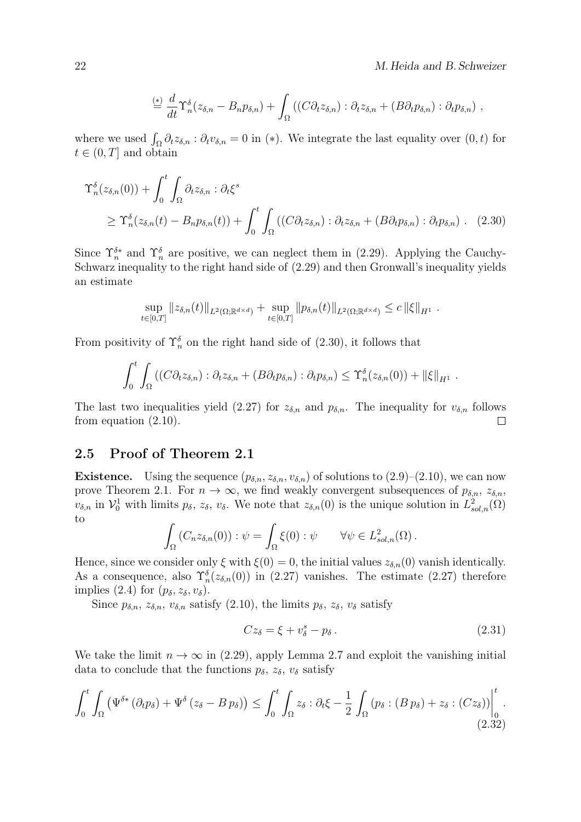22 M. Heida and B. Schweizer

$$
\stackrel{(*)}{=} \frac{d}{dt} \Upsilon_n^{\delta}(z_{\delta,n} - B_n p_{\delta,n}) + \int_{\Omega} \left( (C \partial_t z_{\delta,n}) : \partial_t z_{\delta,n} + (B \partial_t p_{\delta,n}) : \partial_t p_{\delta,n} \right) ,
$$

where we used  $\int_{\Omega} \partial_t z_{\delta,n} : \partial_t v_{\delta,n} = 0$  in (\*). We integrate the last equality over  $(0, t)$  for  $t \in (0, T]$  and obtain

$$
\begin{split} \Upsilon_n^{\delta}(z_{\delta,n}(0)) + \int_0^t \int_{\Omega} \partial_t z_{\delta,n} : \partial_t \xi^s \\ \geq \Upsilon_n^{\delta}(z_{\delta,n}(t) - B_n p_{\delta,n}(t)) + \int_0^t \int_{\Omega} \left( (C \partial_t z_{\delta,n}) : \partial_t z_{\delta,n} + (B \partial_t p_{\delta,n}) : \partial_t p_{\delta,n} \right) . \end{split} \tag{2.30}
$$

Since  $\Upsilon_n^{\delta^*}$  and  $\Upsilon_n^{\delta}$  are positive, we can neglect them in (2.29). Applying the Cauchy-Schwarz inequality to the right hand side of  $(2.29)$  and then Gronwall's inequality yields an estimate

$$
\sup_{t\in[0,T]}\|z_{\delta,n}(t)\|_{L^2(\Omega;\mathbb{R}^{d\times d})}+\sup_{t\in[0,T]}\|p_{\delta,n}(t)\|_{L^2(\Omega;\mathbb{R}^{d\times d})}\leq c\,\|\xi\|_{H^1}.
$$

From positivity of  $\Upsilon_n^{\delta}$  on the right hand side of (2.30), it follows that

$$
\int_0^t \int_{\Omega} \left( (C \partial_t z_{\delta,n}) : \partial_t z_{\delta,n} + (B \partial_t p_{\delta,n}) : \partial_t p_{\delta,n} \right) \leq \Upsilon_n^{\delta}(z_{\delta,n}(0)) + \|\xi\|_{H^1}.
$$

The last two inequalities yield (2.27) for  $z_{\delta,n}$  and  $p_{\delta,n}$ . The inequality for  $v_{\delta,n}$  follows from equation (2.10).  $\Box$ 

### 2.5 Proof of Theorem 2.1

**Existence.** Using the sequence  $(p_{\delta,n}, z_{\delta,n}, v_{\delta,n})$  of solutions to  $(2.9)$ – $(2.10)$ , we can now prove Theorem 2.1. For  $n \to \infty$ , we find weakly convergent subsequences of  $p_{\delta,n}$ ,  $z_{\delta,n}$ ,  $v_{\delta,n}$  in  $\mathcal{V}_0^1$  with limits  $p_\delta$ ,  $z_\delta$ ,  $v_\delta$ . We note that  $z_{\delta,n}(0)$  is the unique solution in  $L^2_{sol,n}(\Omega)$ to

$$
\int_{\Omega} (C_n z_{\delta,n}(0)) : \psi = \int_{\Omega} \xi(0) : \psi \qquad \forall \psi \in L^2_{sol,n}(\Omega) .
$$

Hence, since we consider only  $\xi$  with  $\xi(0) = 0$ , the initial values  $z_{\delta,n}(0)$  vanish identically. As a consequence, also  $\Upsilon_n^{\delta}(z_{\delta,n}(0))$  in (2.27) vanishes. The estimate (2.27) therefore implies (2.4) for  $(p_\delta, z_\delta, v_\delta)$ .

Since  $p_{\delta,n}$ ,  $z_{\delta,n}$ ,  $v_{\delta,n}$  satisfy (2.10), the limits  $p_{\delta}$ ,  $z_{\delta}$ ,  $v_{\delta}$  satisfy

$$
Cz_{\delta} = \xi + v_{\delta}^s - p_{\delta}.
$$
\n(2.31)

We take the limit  $n \to \infty$  in (2.29), apply Lemma 2.7 and exploit the vanishing initial data to conclude that the functions  $p_{\delta}$ ,  $z_{\delta}$ ,  $v_{\delta}$  satisfy

$$
\int_0^t \int_{\Omega} \left( \Psi^{\delta*} \left( \partial_t p_\delta \right) + \Psi^{\delta} \left( z_\delta - B \, p_\delta \right) \right) \le \int_0^t \int_{\Omega} z_\delta : \partial_t \xi - \frac{1}{2} \int_{\Omega} \left( p_\delta : (B \, p_\delta) + z_\delta : (C z_\delta) \right) \Big|_0^t \tag{2.32}
$$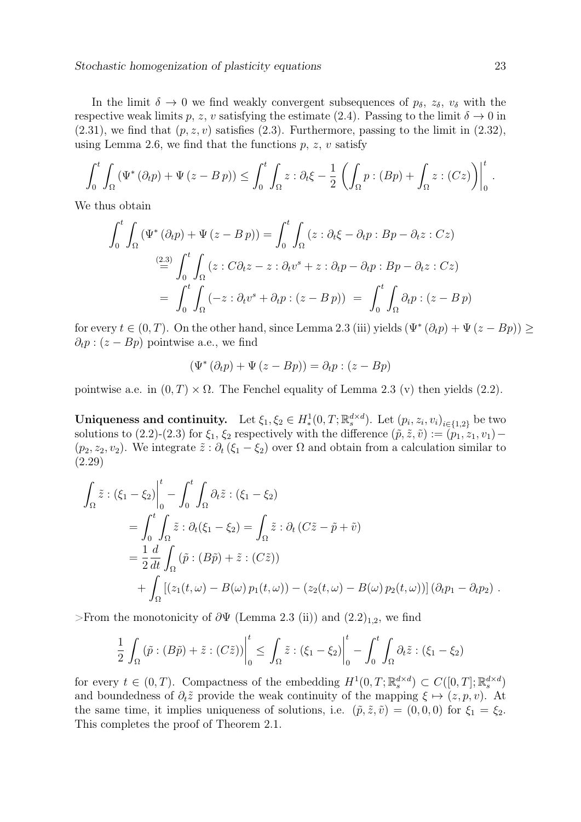In the limit  $\delta \to 0$  we find weakly convergent subsequences of  $p_{\delta}$ ,  $z_{\delta}$ ,  $v_{\delta}$  with the respective weak limits p, z, v satisfying the estimate (2.4). Passing to the limit  $\delta \to 0$  in  $(2.31)$ , we find that  $(p, z, v)$  satisfies  $(2.3)$ . Furthermore, passing to the limit in  $(2.32)$ , using Lemma 2.6, we find that the functions  $p, z, v$  satisfy

$$
\int_0^t \int_{\Omega} \left( \Psi^* \left( \partial_t p \right) + \Psi \left( z - B \, p \right) \right) \le \int_0^t \int_{\Omega} z \, \colon \partial_t \xi - \frac{1}{2} \left( \int_{\Omega} p : (B p) + \int_{\Omega} z : (C z) \right) \Big|_0^t \, .
$$

We thus obtain

$$
\int_0^t \int_{\Omega} \left( \Psi^* \left( \partial_t p \right) + \Psi \left( z - B p \right) \right) = \int_0^t \int_{\Omega} \left( z : \partial_t \xi - \partial_t p : B p - \partial_t z : C z \right)
$$
  
\n
$$
\stackrel{(2.3)}{=} \int_0^t \int_{\Omega} \left( z : C \partial_t z - z : \partial_t v^s + z : \partial_t p - \partial_t p : B p - \partial_t z : C z \right)
$$
  
\n
$$
= \int_0^t \int_{\Omega} \left( -z : \partial_t v^s + \partial_t p : (z - B p) \right) = \int_0^t \int_{\Omega} \partial_t p : (z - B p)
$$

for every  $t \in (0, T)$ . On the other hand, since Lemma 2.3 (iii) yields  $(\Psi^*(\partial_t p) + \Psi(z - Bp)) \ge$  $\partial_t p$  :  $(z - Bp)$  pointwise a.e., we find

$$
(\Psi^*(\partial_t p) + \Psi(z - Bp)) = \partial_t p : (z - Bp)
$$

pointwise a.e. in  $(0, T) \times \Omega$ . The Fenchel equality of Lemma 2.3 (v) then yields (2.2).

**Uniqueness and continuity.** Let  $\xi_1, \xi_2 \in H^1_*(0,T;\mathbb{R}^{d \times d}_s)$ . Let  $(p_i, z_i, v_i)_{i \in \{1,2\}}$  be two solutions to (2.2)-(2.3) for  $\xi_1$ ,  $\xi_2$  respectively with the difference  $(\tilde{p}, \tilde{z}, \tilde{v}) := (\tilde{p}_1, z_1, v_1) (p_2, z_2, v_2)$ . We integrate  $\tilde{z}$  :  $\partial_t (\xi_1 - \xi_2)$  over  $\Omega$  and obtain from a calculation similar to (2.29)

$$
\int_{\Omega} \tilde{z} : (\xi_1 - \xi_2) \Big|_{0}^{t} - \int_{0}^{t} \int_{\Omega} \partial_t \tilde{z} : (\xi_1 - \xi_2)
$$
\n
$$
= \int_{0}^{t} \int_{\Omega} \tilde{z} : \partial_t (\xi_1 - \xi_2) = \int_{\Omega} \tilde{z} : \partial_t (C\tilde{z} - \tilde{p} + \tilde{v})
$$
\n
$$
= \frac{1}{2} \frac{d}{dt} \int_{\Omega} (\tilde{p} : (B\tilde{p}) + \tilde{z} : (C\tilde{z}))
$$
\n
$$
+ \int_{\Omega} [(z_1(t, \omega) - B(\omega) p_1(t, \omega)) - (z_2(t, \omega) - B(\omega) p_2(t, \omega))] (\partial_t p_1 - \partial_t p_2) .
$$

>From the monotonicity of  $\partial \Psi$  (Lemma 2.3 (ii)) and  $(2.2)_{1.2}$ , we find

$$
\frac{1}{2} \int_{\Omega} (\tilde{p} : (B\tilde{p}) + \tilde{z} : (C\tilde{z})) \Big|_{0}^{t} \le \int_{\Omega} \tilde{z} : (\xi_{1} - \xi_{2}) \Big|_{0}^{t} - \int_{0}^{t} \int_{\Omega} \partial_{t} \tilde{z} : (\xi_{1} - \xi_{2})
$$

for every  $t \in (0,T)$ . Compactness of the embedding  $H^1(0,T;\mathbb{R}^{d \times d}_s) \subset C([0,T];\mathbb{R}^{d \times d}_s)$ and boundedness of  $\partial_t \tilde{z}$  provide the weak continuity of the mapping  $\xi \mapsto (z, p, v)$ . At the same time, it implies uniqueness of solutions, i.e.  $(\tilde{p}, \tilde{z}, \tilde{v}) = (0, 0, 0)$  for  $\xi_1 = \xi_2$ . This completes the proof of Theorem 2.1.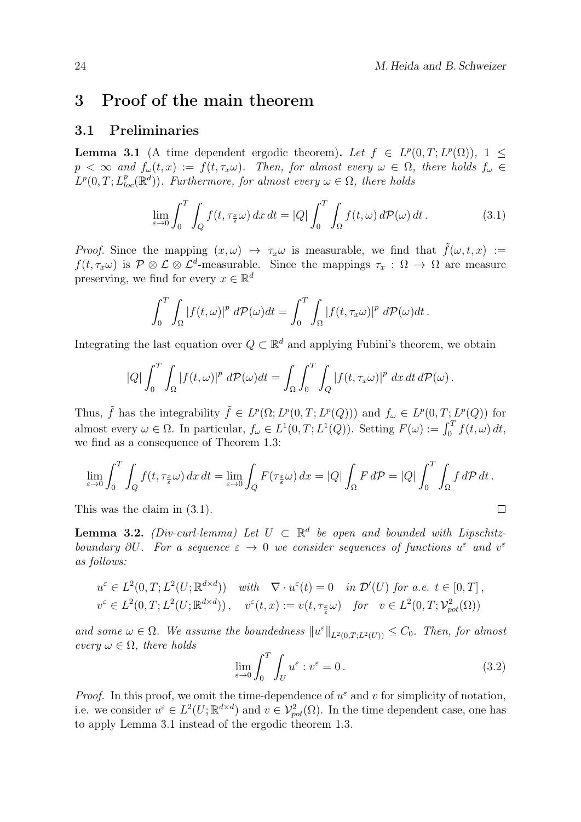# 3 Proof of the main theorem

### 3.1 Preliminaries

**Lemma 3.1** (A time dependent ergodic theorem). Let  $f \in L^p(0,T; L^p(\Omega))$ ,  $1 \leq$  $p < \infty$  and  $f_{\omega}(t, x) := f(t, \tau_x \omega)$ . Then, for almost every  $\omega \in \Omega$ , there holds  $f_{\omega} \in$  $L^p(0,T; L^p_{loc}(\mathbb{R}^d))$ . Furthermore, for almost every  $\omega \in \Omega$ , there holds

$$
\lim_{\varepsilon \to 0} \int_0^T \int_Q f(t, \tau_{\frac{x}{\varepsilon}} \omega) dx dt = |Q| \int_0^T \int_\Omega f(t, \omega) d\mathcal{P}(\omega) dt.
$$
 (3.1)

*Proof.* Since the mapping  $(x, \omega) \mapsto \tau_x \omega$  is measurable, we find that  $\tilde{f}(\omega, t, x) :=$  $f(t, \tau_x \omega)$  is  $\mathcal{P} \otimes \mathcal{L} \otimes \mathcal{L}^d$ -measurable. Since the mappings  $\tau_x : \Omega \to \Omega$  are measure preserving, we find for every  $x \in \mathbb{R}^d$ 

$$
\int_0^T \int_{\Omega} |f(t,\omega)|^p \ d\mathcal{P}(\omega) dt = \int_0^T \int_{\Omega} |f(t,\tau_x \omega)|^p \ d\mathcal{P}(\omega) dt.
$$

Integrating the last equation over  $Q \subset \mathbb{R}^d$  and applying Fubini's theorem, we obtain

$$
|Q| \int_0^T \int_{\Omega} |f(t,\omega)|^p \ d\mathcal{P}(\omega) dt = \int_{\Omega} \int_0^T \int_{Q} |f(t,\tau_x \omega)|^p \ dx dt d\mathcal{P}(\omega).
$$

Thus,  $\tilde{f}$  has the integrability  $\tilde{f} \in L^p(\Omega; L^p(0,T; L^p(Q)))$  and  $f_\omega \in L^p(0,T; L^p(Q))$  for almost every  $\omega \in \Omega$ . In particular,  $f_{\omega} \in L^1(0,T; L^1(Q))$ . Setting  $F(\omega) := \int_0^T f(t, \omega) dt$ , we find as a consequence of Theorem 1.3:

$$
\lim_{\varepsilon \to 0} \int_0^T \int_Q f(t, \tau_{\frac{x}{\varepsilon}} \omega) dx dt = \lim_{\varepsilon \to 0} \int_Q F(\tau_{\frac{x}{\varepsilon}} \omega) dx = |Q| \int_\Omega F d\mathcal{P} = |Q| \int_0^T \int_\Omega f d\mathcal{P} dt.
$$

This was the claim in (3.1).

**Lemma 3.2.** (Div-curl-lemma) Let  $U \subset \mathbb{R}^d$  be open and bounded with Lipschitzboundary  $\partial U$ . For a sequence  $\varepsilon \to 0$  we consider sequences of functions  $u^{\varepsilon}$  and  $v^{\varepsilon}$ as follows:

$$
u^{\varepsilon} \in L^{2}(0,T; L^{2}(U; \mathbb{R}^{d \times d})) \quad with \quad \nabla \cdot u^{\varepsilon}(t) = 0 \quad in \mathcal{D}'(U) \text{ for a.e. } t \in [0,T],
$$
  

$$
v^{\varepsilon} \in L^{2}(0,T; L^{2}(U; \mathbb{R}^{d \times d})) \,, \quad v^{\varepsilon}(t,x) := v(t, \tau_{\frac{x}{\varepsilon}} \omega) \quad \text{for} \quad v \in L^{2}(0,T; \mathcal{V}_{pot}^{2}(\Omega))
$$

and some  $\omega \in \Omega$ . We assume the boundedness  $||u^{\varepsilon}||_{L^2(0,T;L^2(U))} \leq C_0$ . Then, for almost every  $\omega \in \Omega$ , there holds

$$
\lim_{\varepsilon \to 0} \int_0^T \int_U u^{\varepsilon} : v^{\varepsilon} = 0.
$$
\n(3.2)

*Proof.* In this proof, we omit the time-dependence of  $u^{\varepsilon}$  and v for simplicity of notation, i.e. we consider  $u^{\varepsilon} \in L^2(U; \mathbb{R}^{d \times d})$  and  $v \in V_{pot}^2(\Omega)$ . In the time dependent case, one has to apply Lemma 3.1 instead of the ergodic theorem 1.3.

$$
\Box
$$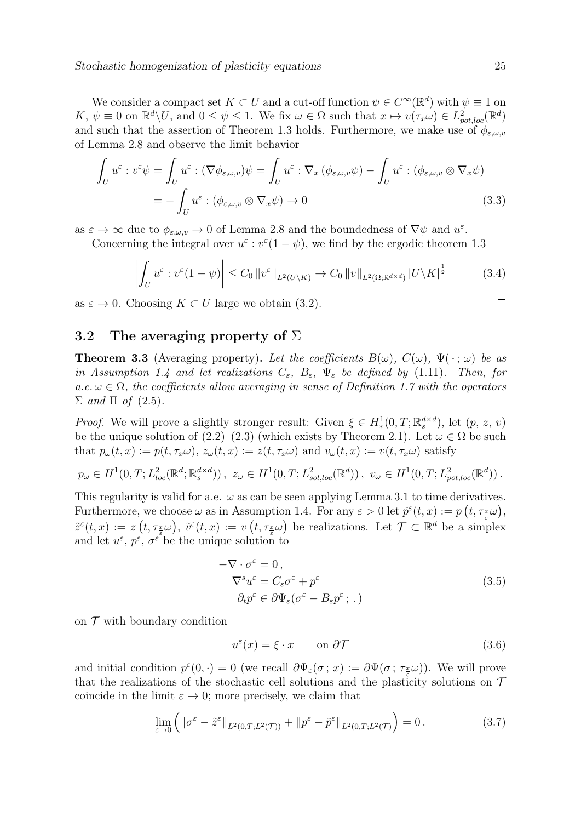We consider a compact set  $K \subset U$  and a cut-off function  $\psi \in C^{\infty}(\mathbb{R}^d)$  with  $\psi \equiv 1$  on K,  $\psi \equiv 0$  on  $\mathbb{R}^d \setminus U$ , and  $0 \leq \psi \leq 1$ . We fix  $\omega \in \Omega$  such that  $x \mapsto v(\tau_x \omega) \in L^2_{pot,loc}(\mathbb{R}^d)$ and such that the assertion of Theorem 1.3 holds. Furthermore, we make use of  $\phi_{\varepsilon,\omega,v}$ of Lemma 2.8 and observe the limit behavior

$$
\int_{U} u^{\varepsilon} : v^{\varepsilon} \psi = \int_{U} u^{\varepsilon} : (\nabla \phi_{\varepsilon, \omega, v}) \psi = \int_{U} u^{\varepsilon} : \nabla_{x} (\phi_{\varepsilon, \omega, v} \psi) - \int_{U} u^{\varepsilon} : (\phi_{\varepsilon, \omega, v} \otimes \nabla_{x} \psi)
$$
\n
$$
= - \int_{U} u^{\varepsilon} : (\phi_{\varepsilon, \omega, v} \otimes \nabla_{x} \psi) \to 0
$$
\n(3.3)

as  $\varepsilon \to \infty$  due to  $\phi_{\varepsilon,\omega,v} \to 0$  of Lemma 2.8 and the boundedness of  $\nabla \psi$  and  $u^{\varepsilon}$ .

Concerning the integral over  $u^{\varepsilon}: v^{\varepsilon}(1-\psi)$ , we find by the ergodic theorem 1.3

$$
\left| \int_{U} u^{\varepsilon} : v^{\varepsilon} (1 - \psi) \right| \leq C_{0} \left\| v^{\varepsilon} \right\|_{L^{2}(U \setminus K)} \to C_{0} \left\| v \right\|_{L^{2}(\Omega; \mathbb{R}^{d \times d})} \left| U \setminus K \right|^{\frac{1}{2}} \tag{3.4}
$$

as  $\varepsilon \to 0$ . Choosing  $K \subset U$  large we obtain (3.2).

### 3.2 The averaging property of  $\Sigma$

**Theorem 3.3** (Averaging property). Let the coefficients  $B(\omega)$ ,  $C(\omega)$ ,  $\Psi(\cdot; \omega)$  be as in Assumption 1.4 and let realizations  $C_{\varepsilon}$ ,  $B_{\varepsilon}$ ,  $\Psi_{\varepsilon}$  be defined by (1.11). Then, for  $a.e. \omega \in \Omega$ , the coefficients allow averaging in sense of Definition 1.7 with the operators  $\Sigma$  and  $\Pi$  of (2.5).

*Proof.* We will prove a slightly stronger result: Given  $\xi \in H_*^1(0,T;\mathbb{R}_s^{d \times d})$ , let  $(p, z, v)$ be the unique solution of  $(2.2)$ – $(2.3)$  (which exists by Theorem 2.1). Let  $\omega \in \Omega$  be such that  $p_{\omega}(t, x) := p(t, \tau_x \omega), z_{\omega}(t, x) := z(t, \tau_x \omega)$  and  $v_{\omega}(t, x) := v(t, \tau_x \omega)$  satisfy

$$
p_{\omega} \in H^1(0, T; L^2_{loc}(\mathbb{R}^d; \mathbb{R}^{d \times d}_s)), \ z_{\omega} \in H^1(0, T; L^2_{sol,loc}(\mathbb{R}^d)), \ v_{\omega} \in H^1(0, T; L^2_{pot,loc}(\mathbb{R}^d)).
$$

This regularity is valid for a.e.  $\omega$  as can be seen applying Lemma 3.1 to time derivatives. Furthermore, we choose  $\omega$  as in Assumption 1.4. For any  $\varepsilon > 0$  let  $\tilde{p}^{\varepsilon}(t, x) := p(t, \tau_{\frac{x}{\varepsilon}} \omega)$ ,  $\tilde{z}^{\varepsilon}(t,x) := z\left(t, \tau_{\frac{x}{\varepsilon}}\omega\right), \ \tilde{v}^{\varepsilon}(t,x) := v\left(t, \tau_{\frac{x}{\varepsilon}}\omega\right)$  be realizations. Let  $\mathcal{T} \subset \mathbb{R}^d$  be a simplex and let  $u^{\varepsilon}, p^{\varepsilon}, \sigma^{\varepsilon}$  be the unique solution to

$$
-\nabla \cdot \sigma^{\varepsilon} = 0,
$$
  
\n
$$
\nabla^{s} u^{\varepsilon} = C_{\varepsilon} \sigma^{\varepsilon} + p^{\varepsilon}
$$
  
\n
$$
\partial_{t} p^{\varepsilon} \in \partial \Psi_{\varepsilon} (\sigma^{\varepsilon} - B_{\varepsilon} p^{\varepsilon} ; .)
$$
\n(3.5)

on  $\mathcal T$  with boundary condition

$$
u^{\varepsilon}(x) = \xi \cdot x \qquad \text{on } \partial \mathcal{T} \tag{3.6}
$$

and initial condition  $p^{\varepsilon}(0, \cdot) = 0$  (we recall  $\partial \Psi_{\varepsilon}(\sigma; x) := \partial \Psi(\sigma; \tau_{\frac{\varepsilon}{\varepsilon}} \omega)$ ). We will prove that the realizations of the stochastic cell solutions and the plasticity solutions on  $\mathcal T$ coincide in the limit  $\varepsilon \to 0$ ; more precisely, we claim that

$$
\lim_{\varepsilon \to 0} \left( \|\sigma^{\varepsilon} - \tilde{z}^{\varepsilon}\|_{L^2(0,T;L^2(\mathcal{T}))} + \|p^{\varepsilon} - \tilde{p}^{\varepsilon}\|_{L^2(0,T;L^2(\mathcal{T}))} \right) = 0. \tag{3.7}
$$

 $\Box$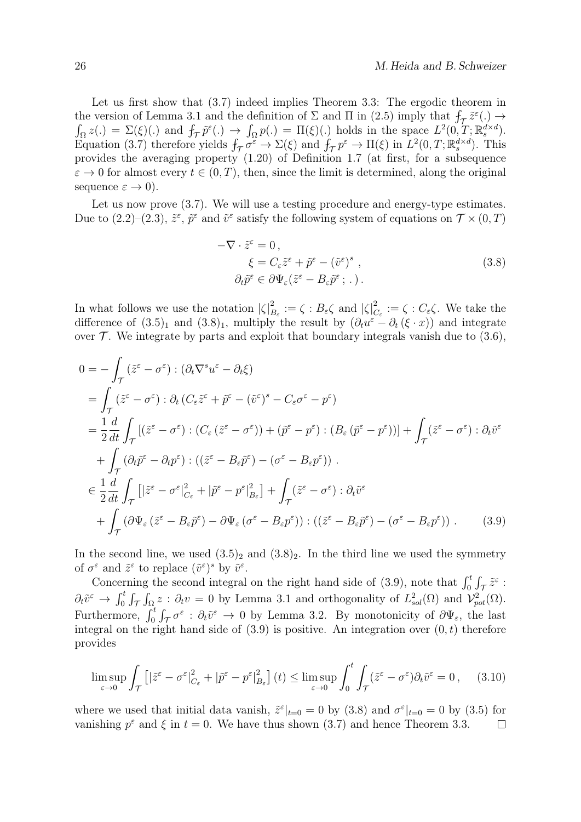Let us first show that (3.7) indeed implies Theorem 3.3: The ergodic theorem in the version of Lemma 3.1 and the definition of  $\Sigma$  and  $\Pi$  in (2.5) imply that  $f_{\mathcal{T}}\tilde{z}^{\varepsilon}(\cdot) \rightarrow$  $\int_{\Omega} z(.) = \Sigma(\xi)(.)$  and  $f_{\mathcal{T}} \tilde{p}^{\varepsilon}(.) \to \int_{\Omega} p(.) = \Pi(\xi)(.)$  holds in the space  $L^2(0,T;\mathbb{R}^{d \times d})$ . Equation (3.7) therefore yields  $f_{\mathcal{T}} \sigma^{\varepsilon} \to \Sigma(\xi)$  and  $f_{\mathcal{T}} p^{\varepsilon} \to \Pi(\xi)$  in  $L^2(0,T;\mathbb{R}^{d \times d}_{s})$ . This provides the averaging property (1.20) of Definition 1.7 (at first, for a subsequence  $\varepsilon \to 0$  for almost every  $t \in (0, T)$ , then, since the limit is determined, along the original sequence  $\varepsilon \to 0$ ).

Let us now prove  $(3.7)$ . We will use a testing procedure and energy-type estimates. Due to  $(2.2)$ – $(2.3)$ ,  $\tilde{z}^{\varepsilon}$ ,  $\tilde{p}^{\varepsilon}$  and  $\tilde{v}^{\varepsilon}$  satisfy the following system of equations on  $\mathcal{T} \times (0,T)$ 

$$
-\nabla \cdot \tilde{z}^{\varepsilon} = 0, \n\xi = C_{\varepsilon} \tilde{z}^{\varepsilon} + \tilde{p}^{\varepsilon} - (\tilde{v}^{\varepsilon})^{s} , \n\partial_{t} \tilde{p}^{\varepsilon} \in \partial \Psi_{\varepsilon} (\tilde{z}^{\varepsilon} - B_{\varepsilon} \tilde{p}^{\varepsilon} ; . ).
$$
\n(3.8)

In what follows we use the notation  $|\zeta|^2$  $B_{\varepsilon}$  :=  $\zeta : B_{\varepsilon} \zeta$  and  $|\zeta|_{\zeta}^2$  $C_{\varepsilon}$  :=  $\zeta$  :  $C_{\varepsilon}\zeta$ . We take the difference of  $(3.5)<sub>1</sub>$  and  $(3.8)<sub>1</sub>$ , multiply the result by  $(\partial_t u^{\varepsilon} - \partial_t (\xi \cdot x))$  and integrate over  $\mathcal T$ . We integrate by parts and exploit that boundary integrals vanish due to (3.6),

$$
0 = -\int_{\mathcal{T}} (\tilde{z}^{\varepsilon} - \sigma^{\varepsilon}) : (\partial_t \nabla^s u^{\varepsilon} - \partial_t \xi)
$$
  
\n
$$
= \int_{\mathcal{T}} (\tilde{z}^{\varepsilon} - \sigma^{\varepsilon}) : \partial_t (C_{\varepsilon} \tilde{z}^{\varepsilon} + \tilde{p}^{\varepsilon} - (\tilde{v}^{\varepsilon})^s - C_{\varepsilon} \sigma^{\varepsilon} - p^{\varepsilon})
$$
  
\n
$$
= \frac{1}{2} \frac{d}{dt} \int_{\mathcal{T}} [(\tilde{z}^{\varepsilon} - \sigma^{\varepsilon}) : (C_{\varepsilon} (\tilde{z}^{\varepsilon} - \sigma^{\varepsilon})) + (\tilde{p}^{\varepsilon} - p^{\varepsilon}) : (B_{\varepsilon} (\tilde{p}^{\varepsilon} - p^{\varepsilon}))] + \int_{\mathcal{T}} (\tilde{z}^{\varepsilon} - \sigma^{\varepsilon}) : \partial_t \tilde{v}^{\varepsilon}
$$
  
\n
$$
+ \int_{\mathcal{T}} (\partial_t \tilde{p}^{\varepsilon} - \partial_t p^{\varepsilon}) : ((\tilde{z}^{\varepsilon} - B_{\varepsilon} \tilde{p}^{\varepsilon}) - (\sigma^{\varepsilon} - B_{\varepsilon} p^{\varepsilon})) .
$$
  
\n
$$
\in \frac{1}{2} \frac{d}{dt} \int_{\mathcal{T}} [|\tilde{z}^{\varepsilon} - \sigma^{\varepsilon}|_{C_{\varepsilon}}^2 + |\tilde{p}^{\varepsilon} - p^{\varepsilon}|_{B_{\varepsilon}}^2] + \int_{\mathcal{T}} (\tilde{z}^{\varepsilon} - \sigma^{\varepsilon}) : \partial_t \tilde{v}^{\varepsilon}
$$
  
\n
$$
+ \int_{\mathcal{T}} (\partial \Psi_{\varepsilon} (\tilde{z}^{\varepsilon} - B_{\varepsilon} \tilde{p}^{\varepsilon}) - \partial \Psi_{\varepsilon} (\sigma^{\varepsilon} - B_{\varepsilon} p^{\varepsilon})) : ((\tilde{z}^{\varepsilon} - B_{\varepsilon} \tilde{p}^{\varepsilon}) - (\sigma^{\varepsilon} - B_{\varepsilon} p^{\vare
$$

In the second line, we used  $(3.5)_2$  and  $(3.8)_2$ . In the third line we used the symmetry of  $\sigma^{\varepsilon}$  and  $\tilde{z}^{\varepsilon}$  to replace  $(\tilde{v}^{\varepsilon})^s$  by  $\tilde{v}^{\varepsilon}$ .

Concerning the second integral on the right hand side of (3.9), note that  $\int_0^t \int_{\mathcal{T}} \tilde{z}^{\varepsilon}$ :  $\partial_t \tilde{v}^{\varepsilon} \to \int_0^t \int_{\mathcal{T}} \int_{\Omega} z : \partial_t v = 0$  by Lemma 3.1 and orthogonality of  $L^2_{sol}(\Omega)$  and  $\mathcal{V}_{pot}^2(\Omega)$ . Furthermore,  $\int_0^t \int_{\mathcal{T}} \sigma^{\varepsilon} : \partial_t \tilde{v}^{\varepsilon} \to 0$  by Lemma 3.2. By monotonicity of  $\partial \Psi_{\varepsilon}$ , the last integral on the right hand side of  $(3.9)$  is positive. An integration over  $(0, t)$  therefore provides

$$
\limsup_{\varepsilon \to 0} \int_{\mathcal{T}} \left[ \left| \tilde{z}^{\varepsilon} - \sigma^{\varepsilon} \right|_{C_{\varepsilon}}^{2} + \left| \tilde{p}^{\varepsilon} - p^{\varepsilon} \right|_{B_{\varepsilon}}^{2} \right] (t) \leq \limsup_{\varepsilon \to 0} \int_{0}^{t} \int_{\mathcal{T}} (\tilde{z}^{\varepsilon} - \sigma^{\varepsilon}) \partial_{t} \tilde{v}^{\varepsilon} = 0, \quad (3.10)
$$

where we used that initial data vanish,  $\tilde{z}^{\varepsilon}|_{t=0} = 0$  by (3.8) and  $\sigma^{\varepsilon}|_{t=0} = 0$  by (3.5) for vanishing  $p^{\varepsilon}$  and  $\xi$  in  $t = 0$ . We have thus shown (3.7) and hence Theorem 3.3.  $\Box$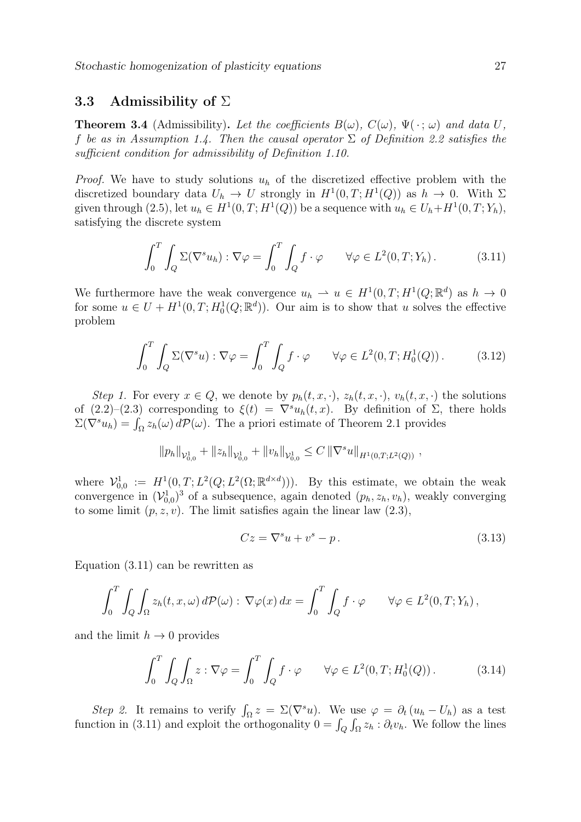### 3.3 Admissibility of  $\Sigma$

**Theorem 3.4** (Admissibility). Let the coefficients  $B(\omega)$ ,  $C(\omega)$ ,  $\Psi(\cdot; \omega)$  and data U, f be as in Assumption 1.4. Then the causal operator  $\Sigma$  of Definition 2.2 satisfies the sufficient condition for admissibility of Definition 1.10.

*Proof.* We have to study solutions  $u_h$  of the discretized effective problem with the discretized boundary data  $U_h \to U$  strongly in  $H^1(0,T;H^1(Q))$  as  $h \to 0$ . With  $\Sigma$ given through  $(2.5)$ , let  $u_h \in H^1(0,T;H^1(Q))$  be a sequence with  $u_h \in U_h + H^1(0,T;Y_h)$ , satisfying the discrete system

$$
\int_0^T \int_Q \Sigma (\nabla^s u_h) : \nabla \varphi = \int_0^T \int_Q f \cdot \varphi \qquad \forall \varphi \in L^2(0, T; Y_h). \tag{3.11}
$$

We furthermore have the weak convergence  $u_h \rightharpoonup u \in H^1(0,T;H^1(Q;\mathbb{R}^d)$  as  $h \to 0$ for some  $u \in U + H^1(0,T; H_0^1(Q;\mathbb{R}^d))$ . Our aim is to show that u solves the effective problem

$$
\int_0^T \int_Q \Sigma(\nabla^s u) : \nabla \varphi = \int_0^T \int_Q f \cdot \varphi \qquad \forall \varphi \in L^2(0, T; H_0^1(Q)). \tag{3.12}
$$

Step 1. For every  $x \in Q$ , we denote by  $p_h(t, x, \cdot), z_h(t, x, \cdot), v_h(t, x, \cdot)$  the solutions of  $(2.2)$ – $(2.3)$  corresponding to  $\xi(t) = \nabla^s u_h(t, x)$ . By definition of  $\Sigma$ , there holds  $\Sigma(\nabla^s u_h) = \int_{\Omega} z_h(\omega) dP(\omega)$ . The a priori estimate of Theorem 2.1 provides

$$
||p_h||_{\mathcal{V}_{0,0}^1} + ||z_h||_{\mathcal{V}_{0,0}^1} + ||v_h||_{\mathcal{V}_{0,0}^1} \leq C ||\nabla^s u||_{H^1(0,T;L^2(Q))}
$$

where  $\mathcal{V}_{0,0}^1 := H^1(0,T; L^2(Q; L^2(\Omega;\mathbb{R}^{d\times d})))$ . By this estimate, we obtain the weak convergence in  $(\mathcal{V}_{0,0}^1)^3$  of a subsequence, again denoted  $(p_h, z_h, v_h)$ , weakly converging to some limit  $(p, z, v)$ . The limit satisfies again the linear law  $(2.3)$ ,

$$
Cz = \nabla^s u + v^s - p. \tag{3.13}
$$

Equation (3.11) can be rewritten as

$$
\int_0^T \int_Q \int_\Omega z_h(t, x, \omega) d\mathcal{P}(\omega) : \nabla \varphi(x) dx = \int_0^T \int_Q f \cdot \varphi \qquad \forall \varphi \in L^2(0, T; Y_h),
$$

and the limit  $h \to 0$  provides

$$
\int_0^T \int_Q \int_\Omega z : \nabla \varphi = \int_0^T \int_Q f \cdot \varphi \qquad \forall \varphi \in L^2(0, T; H_0^1(Q)). \tag{3.14}
$$

Step 2. It remains to verify  $\int_{\Omega} z = \Sigma (\nabla^s u)$ . We use  $\varphi = \partial_t (u_h - U_h)$  as a test function in (3.11) and exploit the orthogonality  $0 = \int_Q \int_{\Omega} z_h : \partial_t v_h$ . We follow the lines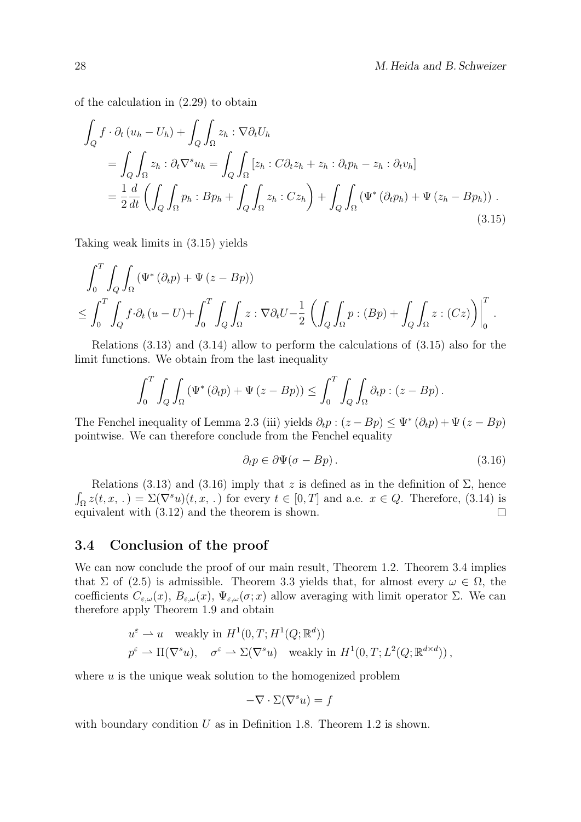of the calculation in (2.29) to obtain

$$
\int_{Q} f \cdot \partial_{t} (u_{h} - U_{h}) + \int_{Q} \int_{\Omega} z_{h} : \nabla \partial_{t} U_{h}
$$
\n
$$
= \int_{Q} \int_{\Omega} z_{h} : \partial_{t} \nabla^{s} u_{h} = \int_{Q} \int_{\Omega} [z_{h} : C \partial_{t} z_{h} + z_{h} : \partial_{t} p_{h} - z_{h} : \partial_{t} v_{h}]
$$
\n
$$
= \frac{1}{2} \frac{d}{dt} \left( \int_{Q} \int_{\Omega} p_{h} : B p_{h} + \int_{Q} \int_{\Omega} z_{h} : C z_{h} \right) + \int_{Q} \int_{\Omega} (\Psi^{*} (\partial_{t} p_{h}) + \Psi (z_{h} - B p_{h})) .
$$
\n(3.15)

Taking weak limits in (3.15) yields

$$
\int_0^T \int_Q \int_\Omega (\Psi^* (\partial_t p) + \Psi (z - Bp))
$$
  
\n
$$
\leq \int_0^T \int_Q f \cdot \partial_t (u - U) + \int_0^T \int_Q \int_\Omega z : \nabla \partial_t U - \frac{1}{2} \left( \int_Q \int_\Omega p : (Bp) + \int_Q \int_\Omega z : (Cz) \right) \Big|_0^T.
$$

Relations (3.13) and (3.14) allow to perform the calculations of (3.15) also for the limit functions. We obtain from the last inequality

$$
\int_0^T \int_Q \int_\Omega \left( \Psi^* \left( \partial_t p \right) + \Psi \left( z - B p \right) \right) \leq \int_0^T \int_Q \int_\Omega \partial_t p : \left( z - B p \right).
$$

The Fenchel inequality of Lemma 2.3 (iii) yields  $\partial_t p : (z - Bp) \leq \Psi^* (\partial_t p) + \Psi (z - Bp)$ pointwise. We can therefore conclude from the Fenchel equality

$$
\partial_t p \in \partial \Psi(\sigma - Bp). \tag{3.16}
$$

Relations (3.13) and (3.16) imply that z is defined as in the definition of  $\Sigma$ , hence  $\int_{\Omega} z(t, x, .) = \Sigma(\nabla^s u)(t, x, .)$  for every  $t \in [0, T]$  and a.e.  $x \in Q$ . Therefore, (3.14) is equivalent with (3.12) and the theorem is shown.  $\Box$ 

#### 3.4 Conclusion of the proof

We can now conclude the proof of our main result, Theorem 1.2. Theorem 3.4 implies that  $\Sigma$  of (2.5) is admissible. Theorem 3.3 yields that, for almost every  $\omega \in \Omega$ , the coefficients  $C_{\varepsilon,\omega}(x)$ ,  $B_{\varepsilon,\omega}(x)$ ,  $\Psi_{\varepsilon,\omega}(\sigma; x)$  allow averaging with limit operator  $\Sigma$ . We can therefore apply Theorem 1.9 and obtain

$$
u^{\varepsilon} \rightharpoonup u \quad \text{weakly in } H^1(0, T; H^1(Q; \mathbb{R}^d))
$$
  

$$
p^{\varepsilon} \rightharpoonup \Pi(\nabla^s u), \quad \sigma^{\varepsilon} \rightharpoonup \Sigma(\nabla^s u) \quad \text{weakly in } H^1(0, T; L^2(Q; \mathbb{R}^{d \times d}))
$$

where  $u$  is the unique weak solution to the homogenized problem

$$
-\nabla \cdot \Sigma(\nabla^s u) = f
$$

with boundary condition  $U$  as in Definition 1.8. Theorem 1.2 is shown.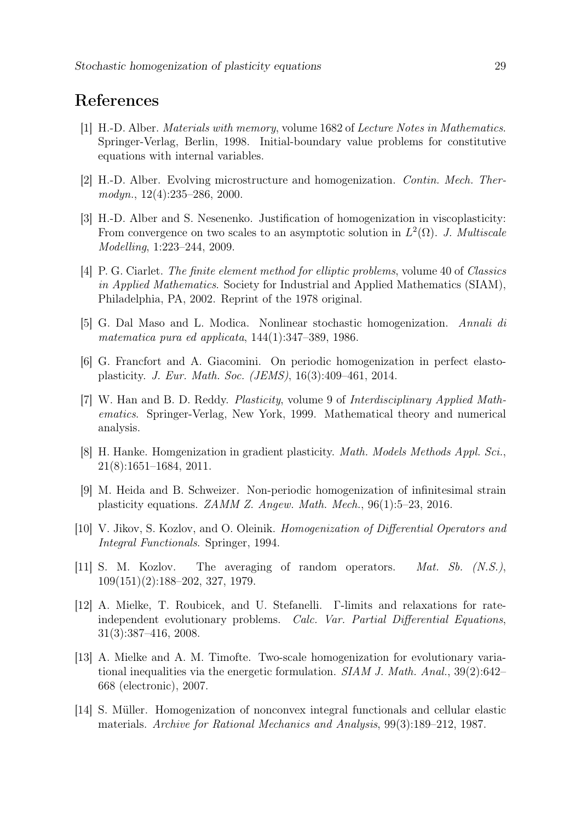# References

- [1] H.-D. Alber. Materials with memory, volume 1682 of Lecture Notes in Mathematics. Springer-Verlag, Berlin, 1998. Initial-boundary value problems for constitutive equations with internal variables.
- [2] H.-D. Alber. Evolving microstructure and homogenization. Contin. Mech. Thermodyn., 12(4):235–286, 2000.
- [3] H.-D. Alber and S. Nesenenko. Justification of homogenization in viscoplasticity: From convergence on two scales to an asymptotic solution in  $L^2(\Omega)$ . J. Multiscale Modelling, 1:223–244, 2009.
- [4] P. G. Ciarlet. The finite element method for elliptic problems, volume 40 of Classics in Applied Mathematics. Society for Industrial and Applied Mathematics (SIAM), Philadelphia, PA, 2002. Reprint of the 1978 original.
- [5] G. Dal Maso and L. Modica. Nonlinear stochastic homogenization. Annali di matematica pura ed applicata, 144(1):347–389, 1986.
- [6] G. Francfort and A. Giacomini. On periodic homogenization in perfect elastoplasticity. J. Eur. Math. Soc. (JEMS), 16(3):409–461, 2014.
- [7] W. Han and B. D. Reddy. Plasticity, volume 9 of Interdisciplinary Applied Mathematics. Springer-Verlag, New York, 1999. Mathematical theory and numerical analysis.
- [8] H. Hanke. Homgenization in gradient plasticity. Math. Models Methods Appl. Sci., 21(8):1651–1684, 2011.
- [9] M. Heida and B. Schweizer. Non-periodic homogenization of infinitesimal strain plasticity equations. ZAMM Z. Angew. Math. Mech., 96(1):5–23, 2016.
- [10] V. Jikov, S. Kozlov, and O. Oleinik. Homogenization of Differential Operators and Integral Functionals. Springer, 1994.
- [11] S. M. Kozlov. The averaging of random operators. Mat. Sb. (N.S.), 109(151)(2):188–202, 327, 1979.
- [12] A. Mielke, T. Roubicek, and U. Stefanelli. Γ-limits and relaxations for rateindependent evolutionary problems. Calc. Var. Partial Differential Equations, 31(3):387–416, 2008.
- [13] A. Mielke and A. M. Timofte. Two-scale homogenization for evolutionary variational inequalities via the energetic formulation. SIAM J. Math. Anal.,  $39(2):642-$ 668 (electronic), 2007.
- [14] S. Müller. Homogenization of nonconvex integral functionals and cellular elastic materials. Archive for Rational Mechanics and Analysis, 99(3):189–212, 1987.